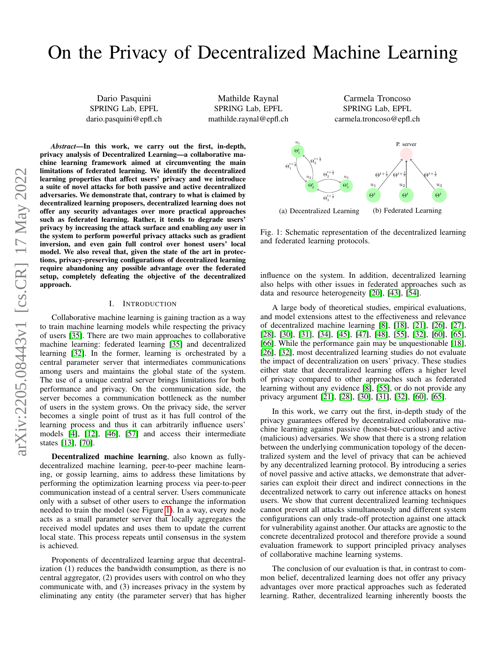# On the Privacy of Decentralized Machine Learning

Dario Pasquini SPRING Lab, EPFL dario.pasquini@epfl.ch

Mathilde Raynal SPRING Lab, EPFL mathilde.raynal@epfl.ch

Carmela Troncoso SPRING Lab, EPFL carmela.troncoso@epfl.ch

*Abstract*—In this work, we carry out the first, in-depth, privacy analysis of Decentralized Learning—a collaborative machine learning framework aimed at circumventing the main limitations of federated learning. We identify the decentralized learning properties that affect users' privacy and we introduce a suite of novel attacks for both passive and active decentralized adversaries. We demonstrate that, contrary to what is claimed by decentralized learning proposers, decentralized learning does not offer any security advantages over more practical approaches such as federated learning. Rather, it tends to degrade users' privacy by increasing the attack surface and enabling *any* user in the system to perform powerful privacy attacks such as gradient inversion, and even gain full control over honest users' local model. We also reveal that, given the state of the art in protections, privacy-preserving configurations of decentralized learning require abandoning any possible advantage over the federated setup, completely defeating the objective of the decentralized approach.

#### I. INTRODUCTION

Collaborative machine learning is gaining traction as a way to train machine learning models while respecting the privacy of users [\[35\]](#page-14-0). There are two main approaches to collaborative machine learning: federated learning [\[35\]](#page-14-0) and decentralized learning [\[32\]](#page-13-0). In the former, learning is orchestrated by a central parameter server that intermediates communications among users and maintains the global state of the system. The use of a unique central server brings limitations for both performance and privacy. On the communication side, the server becomes a communication bottleneck as the number of users in the system grows. On the privacy side, the server becomes a single point of trust as it has full control of the learning process and thus it can arbitrarily influence users' models [\[4\]](#page-13-1), [\[12\]](#page-13-2), [\[46\]](#page-14-1), [\[57\]](#page-14-2) and access their intermediate states [\[13\]](#page-13-3), [\[70\]](#page-14-3).

Decentralized machine learning, also known as fullydecentralized machine learning, peer-to-peer machine learning, or gossip learning, aims to address these limitations by performing the optimization learning process via peer-to-peer communication instead of a central server. Users communicate only with a subset of other users to exchange the information needed to train the model (see Figure [1\)](#page-0-0). In a way, every node acts as a small parameter server that locally aggregates the received model updates and uses them to update the current local state. This process repeats until consensus in the system is achieved.

Proponents of decentralized learning argue that decentralization (1) reduces the bandwidth consumption, as there is no central aggregator, (2) provides users with control on who they communicate with, and (3) increases privacy in the system by eliminating any entity (the parameter server) that has higher

<span id="page-0-0"></span>

(a) Decentralized Learning (b) Federated Learning

Fig. 1: Schematic representation of the decentralized learning and federated learning protocols.

influence on the system. In addition, decentralized learning also helps with other issues in federated approaches such as data and resource heterogeneity [\[20\]](#page-13-4), [\[43\]](#page-14-4), [\[54\]](#page-14-5).

A large body of theoretical studies, empirical evaluations, and model extensions attest to the effectiveness and relevance of decentralized machine learning [\[8\]](#page-13-5), [\[18\]](#page-13-6), [\[21\]](#page-13-7), [\[26\]](#page-13-8), [\[27\]](#page-13-9), [\[28\]](#page-13-10), [\[30\]](#page-13-11), [\[31\]](#page-13-12), [\[34\]](#page-14-6), [\[45\]](#page-14-7), [\[47\]](#page-14-8), [\[48\]](#page-14-9), [\[55\]](#page-14-10), [\[32\]](#page-13-0), [\[60\]](#page-14-11), [\[65\]](#page-14-12), [\[66\]](#page-14-13). While the performance gain may be unquestionable [\[18\]](#page-13-6), [\[26\]](#page-13-8), [\[32\]](#page-13-0), most decentralized learning studies do not evaluate the impact of decentralization on users' privacy. These studies either state that decentralized learning offers a higher level of privacy compared to other approaches such as federated learning without any evidence [\[8\]](#page-13-5), [\[55\]](#page-14-10), or do not provide any privacy argument [\[21\]](#page-13-7), [\[28\]](#page-13-10), [\[30\]](#page-13-11), [\[31\]](#page-13-12), [\[32\]](#page-13-0), [\[60\]](#page-14-11), [\[65\]](#page-14-12).

In this work, we carry out the first, in-depth study of the privacy guarantees offered by decentralized collaborative machine learning against passive (honest-but-curious) and active (malicious) adversaries. We show that there is a strong relation between the underlying communication topology of the decentralized system and the level of privacy that can be achieved by any decentralized learning protocol. By introducing a series of novel passive and active attacks, we demonstrate that adversaries can exploit their direct and indirect connections in the decentralized network to carry out inference attacks on honest users. We show that current decentralized learning techniques cannot prevent all attacks simultaneously and different system configurations can only trade-off protection against one attack for vulnerability against another. Our attacks are agnostic to the concrete decentralized protocol and therefore provide a sound evaluation framework to support principled privacy analyses of collaborative machine learning systems.

The conclusion of our evaluation is that, in contrast to common belief, decentralized learning does not offer any privacy advantages over more practical approaches such as federated learning. Rather, decentralized learning inherently boosts the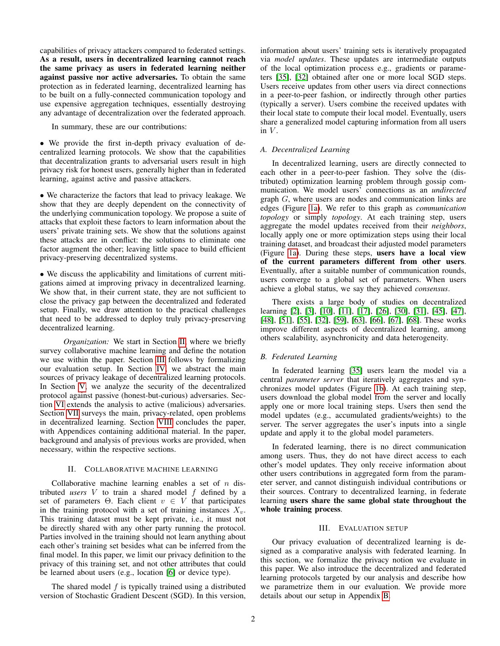capabilities of privacy attackers compared to federated settings. As a result, users in decentralized learning cannot reach the same privacy as users in federated learning neither against passive nor active adversaries. To obtain the same protection as in federated learning, decentralized learning has to be built on a fully-connected communication topology and use expensive aggregation techniques, essentially destroying any advantage of decentralization over the federated approach.

In summary, these are our contributions:

• We provide the first in-depth privacy evaluation of decentralized learning protocols. We show that the capabilities that decentralization grants to adversarial users result in high privacy risk for honest users, generally higher than in federated learning, against active and passive attackers.

• We characterize the factors that lead to privacy leakage. We show that they are deeply dependent on the connectivity of the underlying communication topology. We propose a suite of attacks that exploit these factors to learn information about the users' private training sets. We show that the solutions against these attacks are in conflict: the solutions to eliminate one factor augment the other; leaving little space to build efficient privacy-preserving decentralized systems.

• We discuss the applicability and limitations of current mitigations aimed at improving privacy in decentralized learning. We show that, in their current state, they are not sufficient to close the privacy gap between the decentralized and federated setup. Finally, we draw attention to the practical challenges that need to be addressed to deploy truly privacy-preserving decentralized learning.

*Organization:* We start in Section [II,](#page-1-0) where we briefly survey collaborative machine learning and define the notation we use within the paper. Section [III](#page-1-1) follows by formalizing our evaluation setup. In Section [IV,](#page-3-0) we abstract the main sources of privacy leakage of decentralized learning protocols. In Section [V,](#page-4-0) we analyze the security of the decentralized protocol against passive (honest-but-curious) adversaries. Section [VI](#page-8-0) extends the analysis to active (malicious) adversaries. Section [VII](#page-11-0) surveys the main, privacy-related, open problems in decentralized learning. Section [VIII](#page-12-0) concludes the paper, with Appendices containing additional material. In the paper, background and analysis of previous works are provided, when necessary, within the respective sections.

#### II. COLLABORATIVE MACHINE LEARNING

<span id="page-1-0"></span>Collaborative machine learning enables a set of  $n$  distributed *users*  $V$  to train a shared model  $f$  defined by a set of parameters  $\Theta$ . Each client  $v \in V$  that participates in the training protocol with a set of training instances  $X_v$ . This training dataset must be kept private, i.e., it must not be directly shared with any other party running the protocol. Parties involved in the training should not learn anything about each other's training set besides what can be inferred from the final model. In this paper, we limit our privacy definition to the privacy of this training set, and not other attributes that could be learned about users (e.g., location [\[6\]](#page-13-13) or device type).

The shared model  $f$  is typically trained using a distributed version of Stochastic Gradient Descent (SGD). In this version, information about users' training sets is iteratively propagated via *model updates*. These updates are intermediate outputs of the local optimization process e.g., gradients or parameters [\[35\]](#page-14-0), [\[32\]](#page-13-0) obtained after one or more local SGD steps. Users receive updates from other users via direct connections in a peer-to-peer fashion, or indirectly through other parties (typically a server). Users combine the received updates with their local state to compute their local model. Eventually, users share a generalized model capturing information from all users in  $V$ .

# *A. Decentralized Learning*

In decentralized learning, users are directly connected to each other in a peer-to-peer fashion. They solve the (distributed) optimization learning problem through gossip communication. We model users' connections as an *undirected* graph G, where users are nodes and communication links are edges (Figure [1a\)](#page-0-0). We refer to this graph as *communication topology* or simply *topology*. At each training step, users aggregate the model updates received from their *neighbors*, locally apply one or more optimization steps using their local training dataset, and broadcast their adjusted model parameters (Figure [1a\)](#page-0-0). During these steps, users have a local view of the current parameters different from other users. Eventually, after a suitable number of communication rounds, users converge to a global set of parameters. When users achieve a global status, we say they achieved *consensus*.

There exists a large body of studies on decentralized learning [\[2\]](#page-13-14), [\[3\]](#page-13-15), [\[10\]](#page-13-16), [\[11\]](#page-13-17), [\[17\]](#page-13-18), [\[26\]](#page-13-8), [\[30\]](#page-13-11), [\[31\]](#page-13-12), [\[45\]](#page-14-7), [\[47\]](#page-14-8), [\[48\]](#page-14-9), [\[51\]](#page-14-14), [\[55\]](#page-14-10), [\[32\]](#page-13-0), [\[59\]](#page-14-15), [\[63\]](#page-14-16), [\[66\]](#page-14-13), [\[67\]](#page-14-17), [\[68\]](#page-14-18). These works improve different aspects of decentralized learning, among others scalability, asynchronicity and data heterogeneity.

# *B. Federated Learning*

In federated learning [\[35\]](#page-14-0) users learn the model via a central *parameter server* that iteratively aggregates and synchronizes model updates (Figure [1b\)](#page-0-0). At each training step, users download the global model from the server and locally apply one or more local training steps. Users then send the model updates (e.g., accumulated gradients/weights) to the server. The server aggregates the user's inputs into a single update and apply it to the global model parameters.

In federated learning, there is no direct communication among users. Thus, they do not have direct access to each other's model updates. They only receive information about other users contributions in aggregated form from the parameter server, and cannot distinguish individual contributions or their sources. Contrary to decentralized learning, in federate learning users share the same global state throughout the whole training process.

## III. EVALUATION SETUP

<span id="page-1-1"></span>Our privacy evaluation of decentralized learning is designed as a comparative analysis with federated learning. In this section, we formalize the privacy notion we evaluate in this paper. We also introduce the decentralized and federated learning protocols targeted by our analysis and describe how we parametrize them in our evaluation. We provide more details about our setup in Appendix [B.](#page-15-0)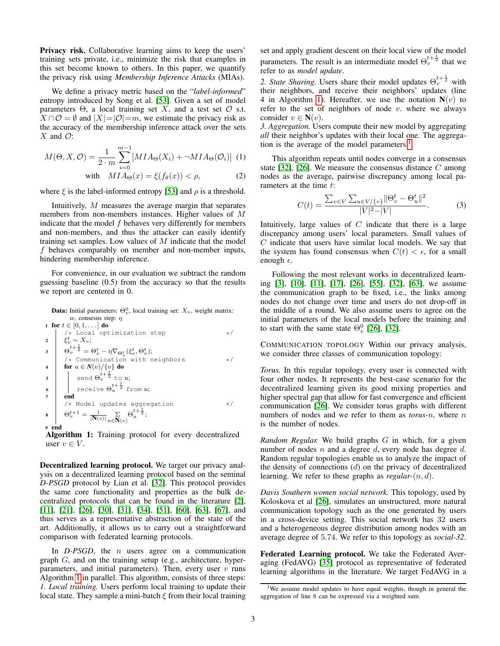Privacy risk. Collaborative learning aims to keep the users' training sets private, i.e., minimize the risk that examples in this set become known to others. In this paper, we quantify the privacy risk using *Membership Inference Attacks* (MIAs).

We define a privacy metric based on the "*label-informed*" entropy introduced by Song et al. [\[53\]](#page-14-19). Given a set of model parameters  $\Theta$ , a local training set X, and a test set  $\mathcal O$  s.t.  $X \cap \mathcal{O} = \emptyset$  and  $|X| = |\mathcal{O}| = m$ , we estimate the privacy risk as the accuracy of the membership inference attack over the sets  $X$  and  $\mathcal{O}$ :

$$
M(\Theta, X, \mathcal{O}) = \frac{1}{2 \cdot m} \sum_{i=0}^{m-1} [MIA_{\Theta}(X_i) + \neg MIA_{\Theta}(\mathcal{O}_i)] \tag{1}
$$

with 
$$
MIA_{\Theta}(x) = \xi(f_{\theta}(x)) < \rho,
$$
 (2)

where  $\xi$  is the label-informed entropy [\[53\]](#page-14-19) and  $\rho$  is a threshold.

Intuitively, M measures the average margin that separates members from non-members instances. Higher values of M indicate that the model  $f$  behaves very differently for members and non-members, and thus the attacker can easily identify training set samples. Low values of  $M$  indicate that the model f behaves comparably on member and non-member inputs, hindering membership inference.

For convenience, in our evaluation we subtract the random guessing baseline (0.5) from the accuracy so that the results we report are centered in 0.

|                | <b>Data:</b> Initial parameters: $\Theta_n^0$ , local training set: $X_v$ , weight matrix:                                                                                                                                                                                                              |  |  |
|----------------|---------------------------------------------------------------------------------------------------------------------------------------------------------------------------------------------------------------------------------------------------------------------------------------------------------|--|--|
|                | w, consesus step: $\eta$                                                                                                                                                                                                                                                                                |  |  |
|                | 1 for $t \in [0, 1, \dots]$ do                                                                                                                                                                                                                                                                          |  |  |
|                | $*$                                                                                                                                                                                                                                                                                                     |  |  |
|                |                                                                                                                                                                                                                                                                                                         |  |  |
|                | $\begin{array}{ll} \mathbf{2} & \left\langle \begin{array}{c} \star \text{ Local optimization step}\\ \xi_v^t \sim X_v; \end{array}\right.\\ \mathbf{3} & \left. \begin{array}{c} \theta_v^{t+\frac{1}{2}} = \Theta_v^t - \eta \nabla_{\Theta_v^t}(\xi_v^t,\Theta_v^t); \end{array}\right. \end{array}$ |  |  |
|                | /* Communication with neighbors<br>$\star$ .                                                                                                                                                                                                                                                            |  |  |
| $\overline{4}$ | for $u \in N(v)/\{v\}$ do                                                                                                                                                                                                                                                                               |  |  |
| 5              | send $\Theta_v^{t+\frac{1}{2}}$ to u;<br>receive $\Theta_u^{t+\frac{1}{2}}$ from u;                                                                                                                                                                                                                     |  |  |
| 6              |                                                                                                                                                                                                                                                                                                         |  |  |
| $\overline{7}$ | end                                                                                                                                                                                                                                                                                                     |  |  |
|                | /* Model updates aggregation<br>$\star$                                                                                                                                                                                                                                                                 |  |  |
| $\bf{8}$       | $\Theta_v^{t+1} = \frac{1}{ \mathbf{N}(v) } \sum_{u \in \mathbf{N}(v)} \Theta_u^{t+\frac{1}{2}};$                                                                                                                                                                                                       |  |  |
| 9              | end                                                                                                                                                                                                                                                                                                     |  |  |

<span id="page-2-0"></span>Algorithm 1: Training protocol for every decentralized user  $v \in V$ .

Decentralized learning protocol. We target our privacy analysis on a decentralized learning protocol based on the seminal *D-PSGD* protocol by Lian et al. [\[32\]](#page-13-0). This protocol provides the same core functionality and properties as the bulk decentralized protocols that can be found in the literature [\[2\]](#page-13-14), [\[11\]](#page-13-17), [\[21\]](#page-13-7), [\[26\]](#page-13-8), [\[30\]](#page-13-11), [\[31\]](#page-13-12), [\[34\]](#page-14-6), [\[51\]](#page-14-14), [\[60\]](#page-14-11), [\[63\]](#page-14-16), [\[67\]](#page-14-17), and thus serves as a representative abstraction of the state of the art. Additionally, it allows us to carry out a straightforward comparison with federated learning protocols.

In *D-PSGD*, the *n* users agree on a communication graph  $G$ , and on the training setup (e.g., architecture, hyperparameters, and initial parameters). Then, every user  $v$  runs Algorithm [1](#page-2-0) in parallel. This algorithm, consists of three steps: *1. Local training.* Users perform local training to update their local state. They sample a mini-batch  $\xi$  from their local training set and apply gradient descent on their local view of the model parameters. The result is an intermediate model  $\Theta_v^{t+\frac{1}{2}}$  that we refer to as *model update*.

2. State Sharing. Users share their model updates  $\Theta_{v}^{t+\frac{1}{2}}$  with their neighbors, and receive their neighbors' updates (line 4 in Algorithm [1\)](#page-2-0). Hereafter, we use the notation  $N(v)$  to refer to the set of neighbors of node  $v$ . where we always consider  $v \in \mathbf{N}(v)$ .

*3. Aggregation.* Users compute their new model by aggregating *all* their neighbor's updates with their local one. The aggrega-tion is the average of the model parameters.<sup>[1](#page-2-1)</sup>

<span id="page-2-2"></span>This algorithm repeats until nodes converge in a consensus state [\[32\]](#page-13-0), [\[26\]](#page-13-8). We measure the consensus distance  $C$  among nodes as the average, pairwise discrepancy among local parameters at the time t:

<span id="page-2-3"></span>
$$
C(t) = \frac{\sum_{v \in V} \sum_{u \in V/\{v\}} ||\Theta_v^t - \Theta_u^t||^2}{|V|^2 - |V|}.
$$
 (3)

Intuitively, large values of  $C$  indicate that there is a large discrepancy among users' local parameters. Small values of  $C$  indicate that users have similar local models. We say that the system has found consensus when  $C(t) < \epsilon$ , for a small enough  $\epsilon$ .

Following the most relevant works in decentralized learning [\[3\]](#page-13-15), [\[10\]](#page-13-16), [\[11\]](#page-13-17), [\[17\]](#page-13-18), [\[26\]](#page-13-8), [\[55\]](#page-14-10), [\[32\]](#page-13-0), [\[63\]](#page-14-16), we assume the communication graph to be fixed, i.e., the links among nodes do not change over time and users do not drop-off in the middle of a round. We also assume users to agree on the initial parameters of the local models before the training and to start with the same state  $\Theta_v^0$  [\[26\]](#page-13-8), [\[32\]](#page-13-0).

COMMUNICATION TOPOLOGY Within our privacy analysis, we consider three classes of communication topology:

*Torus.* In this regular topology, every user is connected with four other nodes. It represents the best-case scenario for the decentralized learning given its good mixing properties and higher spectral gap that allow for fast convergence and efficient communication [\[26\]](#page-13-8). We consider torus graphs with different numbers of nodes and we refer to them as *torus-*n, where n is the number of nodes.

*Random Regular.* We build graphs G in which, for a given number of nodes  $n$  and a degree  $d$ , every node has degree  $d$ . Random regular topologies enable us to analyze the impact of the density of connections  $(d)$  on the privacy of decentralized learning. We refer to these graphs as *regular-*(n, d).

*Davis Southern women social network.* This topology, used by Koloskova et al [\[26\]](#page-13-8), simulates an unstructured, more natural communication topology such as the one generated by users in a cross-device setting. This social network has 32 users and a heterogeneous degree distribution among nodes with an average degree of 5.74. We refer to this topology as *social-32*.

Federated Learning protocol. We take the Federated Averaging (FedAVG) [\[35\]](#page-14-0) protocol as representative of federated learning algorithms in the literature. We target FedAVG in a

<span id="page-2-1"></span><sup>&</sup>lt;sup>1</sup>We assume model updates to have equal weights, though in general the aggregation of line 8 can be expressed via a weighted sum.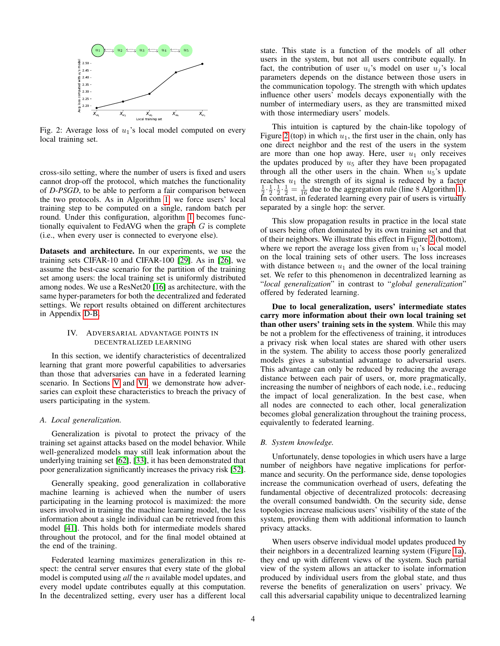<span id="page-3-1"></span>

Fig. 2: Average loss of  $u_1$ 's local model computed on every local training set.

cross-silo setting, where the number of users is fixed and users cannot drop-off the protocol, which matches the functionality of *D-PSGD*, to be able to perform a fair comparison between the two protocols. As in Algorithm [1,](#page-2-0) we force users' local training step to be computed on a single, random batch per round. Under this configuration, algorithm [1](#page-2-0) becomes functionally equivalent to FedAVG when the graph  $G$  is complete (i.e., when every user is connected to everyone else).

Datasets and architecture. In our experiments, we use the training sets CIFAR-10 and CIFAR-100 [\[29\]](#page-13-19). As in [\[26\]](#page-13-8), we assume the best-case scenario for the partition of the training set among users: the local training set is uniformly distributed among nodes. We use a ResNet20 [\[16\]](#page-13-20) as architecture, with the same hyper-parameters for both the decentralized and federated settings. We report results obtained on different architectures in Appendix [D-B.](#page-16-0)

## <span id="page-3-0"></span>IV. ADVERSARIAL ADVANTAGE POINTS IN DECENTRALIZED LEARNING

In this section, we identify characteristics of decentralized learning that grant more powerful capabilities to adversaries than those that adversaries can have in a federated learning scenario. In Sections [V](#page-4-0) and [VI,](#page-8-0) we demonstrate how adversaries can exploit these characteristics to breach the privacy of users participating in the system.

#### *A. Local generalization.*

Generalization is pivotal to protect the privacy of the training set against attacks based on the model behavior. While well-generalized models may still leak information about the underlying training set [\[62\]](#page-14-20), [\[33\]](#page-14-21), it has been demonstrated that poor generalization significantly increases the privacy risk [\[52\]](#page-14-22).

Generally speaking, good generalization in collaborative machine learning is achieved when the number of users participating in the learning protocol is maximized: the more users involved in training the machine learning model, the less information about a single individual can be retrieved from this model [\[41\]](#page-14-23). This holds both for intermediate models shared throughout the protocol, and for the final model obtained at the end of the training.

Federated learning maximizes generalization in this respect: the central server ensures that every state of the global model is computed using *all* the n available model updates, and every model update contributes equally at this computation. In the decentralized setting, every user has a different local state. This state is a function of the models of all other users in the system, but not all users contribute equally. In fact, the contribution of user  $u_i$ 's model on user  $u_i$ 's local parameters depends on the distance between those users in the communication topology. The strength with which updates influence other users' models decays exponentially with the number of intermediary users, as they are transmitted mixed with those intermediary users' models.

This intuition is captured by the chain-like topology of Figure [2](#page-3-1) (top) in which  $u_1$ , the first user in the chain, only has one direct neighbor and the rest of the users in the system are more than one hop away. Here, user  $u_1$  only receives the updates produced by  $u_5$  after they have been propagated through all the other users in the chain. When  $u_5$ 's update reaches  $u_1$  the strength of its signal is reduced by a factor  $\frac{1}{2} \cdot \frac{1}{2} \cdot \frac{1}{2} = \frac{1}{16}$  due to the aggregation rule (line 8 Algorithm [1\)](#page-2-0). In contrast, in federated learning every pair of users is virtually separated by a single hop: the server.

This slow propagation results in practice in the local state of users being often dominated by its own training set and that of their neighbors. We illustrate this effect in Figure [2](#page-3-1) (bottom), where we report the average loss given from  $u_1$ 's local model on the local training sets of other users. The loss increases with distance between  $u_1$  and the owner of the local training set. We refer to this phenomenon in decentralized learning as "*local generalization*" in contrast to "*global generalization*" offered by federated learning.

Due to local generalization, users' intermediate states carry more information about their own local training set than other users' training sets in the system. While this may be not a problem for the effectiveness of training, it introduces a privacy risk when local states are shared with other users in the system. The ability to access those poorly generalized models gives a substantial advantage to adversarial users. This advantage can only be reduced by reducing the average distance between each pair of users, or, more pragmatically, increasing the number of neighbors of each node, i.e., reducing the impact of local generalization. In the best case, when all nodes are connected to each other, local generalization becomes global generalization throughout the training process, equivalently to federated learning.

# *B. System knowledge.*

Unfortunately, dense topologies in which users have a large number of neighbors have negative implications for performance and security. On the performance side, dense topologies increase the communication overhead of users, defeating the fundamental objective of decentralized protocols: decreasing the overall consumed bandwidth. On the security side, dense topologies increase malicious users' visibility of the state of the system, providing them with additional information to launch privacy attacks.

When users observe individual model updates produced by their neighbors in a decentralized learning system (Figure [1a\)](#page-0-0), they end up with different views of the system. Such partial view of the system allows an attacker to isolate information produced by individual users from the global state, and thus reverse the benefits of generalization on users' privacy. We call this adversarial capability unique to decentralized learning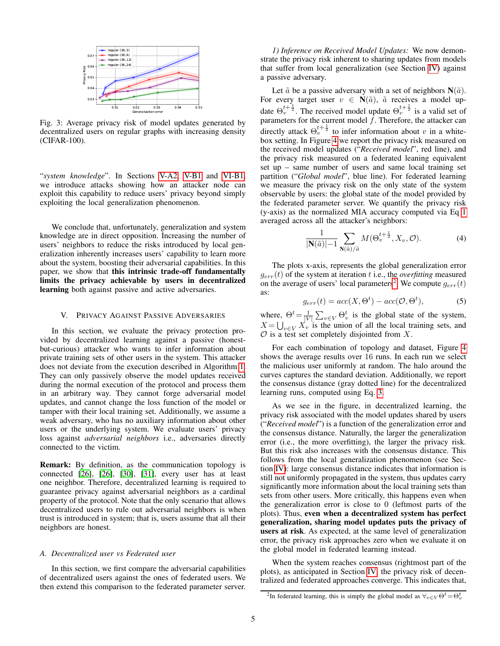<span id="page-4-2"></span>

Fig. 3: Average privacy risk of model updates generated by decentralized users on regular graphs with increasing density (CIFAR-100).

"*system knowledge*". In Sections [V-A2,](#page-5-0) [V-B1](#page-6-0) and [VI-B1,](#page-10-0) we introduce attacks showing how an attacker node can exploit this capability to reduce users' privacy beyond simply exploiting the local generalization phenomenon.

We conclude that, unfortunately, generalization and system knowledge are in direct opposition. Increasing the number of users' neighbors to reduce the risks introduced by local generalization inherently increases users' capability to learn more about the system, boosting their adversarial capabilities. In this paper, we show that this intrinsic trade-off fundamentally limits the privacy achievable by users in decentralized learning both against passive and active adversaries.

#### <span id="page-4-0"></span>V. PRIVACY AGAINST PASSIVE ADVERSARIES

In this section, we evaluate the privacy protection provided by decentralized learning against a passive (honestbut-curious) attacker who wants to infer information about private training sets of other users in the system. This attacker does not deviate from the execution described in Algorithm [1.](#page-2-0) They can only passively observe the model updates received during the normal execution of the protocol and process them in an arbitrary way. They cannot forge adversarial model updates, and cannot change the loss function of the model or tamper with their local training set. Additionally, we assume a weak adversary, who has no auxiliary information about other users or the underlying system. We evaluate users' privacy loss against *adversarial neighbors* i.e., adversaries directly connected to the victim.

Remark: By definition, as the communication topology is connected [\[26\]](#page-13-8), [\[26\]](#page-13-8), [\[30\]](#page-13-11), [\[31\]](#page-13-12), every user has at least one neighbor. Therefore, decentralized learning is required to guarantee privacy against adversarial neighbors as a cardinal property of the protocol. Note that the only scenario that allows decentralized users to rule out adversarial neighbors is when trust is introduced in system; that is, users assume that all their neighbors are honest.

#### <span id="page-4-4"></span>*A. Decentralized user vs Federated user*

In this section, we first compare the adversarial capabilities of decentralized users against the ones of federated users. We then extend this comparison to the federated parameter server.

<span id="page-4-3"></span>*1) Inference on Received Model Updates:* We now demonstrate the privacy risk inherent to sharing updates from models that suffer from local generalization (see Section [IV\)](#page-3-0) against a passive adversary.

Let  $\tilde{a}$  be a passive adversary with a set of neighbors  $N(\tilde{a})$ . For every target user  $v \in \mathbf{N}(\tilde{a})$ ,  $\tilde{a}$  receives a model update  $\Theta_{v}^{t+\frac{1}{2}}$ . The received model update  $\Theta_{v}^{t+\frac{1}{2}}$  is a valid set of parameters for the current model  $f$ . Therefore, the attacker can directly attack  $\Theta_v^{t+\frac{1}{2}}$  to infer information about v in a whitebox setting. In Figure [4](#page-5-1) we report the privacy risk measured on the received model updates ("*Received model*", red line), and the privacy risk measured on a federated leaning equivalent set up – same number of users and same local training set partition ("*Global model*", blue line). For federated learning we measure the privacy risk on the only state of the system observable by users: the global state of the model provided by the federated parameter server. We quantify the privacy risk (y-axis) as the normalized MIA accuracy computed via Eq [1](#page-2-2) averaged across all the attacker's neighbors:

$$
\frac{1}{|\mathbf{N}(\tilde{a})|-1} \sum_{\mathbf{N}(\tilde{a})/\tilde{a}} M(\Theta_v^{t+\frac{1}{2}}, X_v, \mathcal{O}).
$$
 (4)

The plots x-axis, represents the global generalization error  $g_{err}(t)$  of the system at iteration t i.e., the *overfitting* measured on the average of users' local parameters<sup>[2](#page-4-1)</sup>. We compute  $g_{err}(t)$ as:

$$
g_{err}(t) = acc(X, \Theta^t) - acc(\mathcal{O}, \Theta^t), \tag{5}
$$

where,  $\Theta^t = \frac{1}{|V|} \sum_{v \in V} \Theta_v^t$  is the global state of the system,  $X = \bigcup_{v \in V} X_v$  is the union of all the local training sets, and  $\mathcal O$  is a test set completely disjointed from X.

For each combination of topology and dataset, Figure [4](#page-5-1) shows the average results over 16 runs. In each run we select the malicious user uniformly at random. The halo around the curves captures the standard deviation. Additionally, we report the consensus distance (gray dotted line) for the decentralized learning runs, computed using Eq. [3.](#page-2-3)

As we see in the figure, in decentralized learning, the privacy risk associated with the model updates shared by users ("*Received model*") is a function of the generalization error and the consensus distance. Naturally, the larger the generalization error (i.e., the more overfitting), the larger the privacy risk. But this risk also increases with the consensus distance. This follows from the local generalization phenomenon (see Section [IV\)](#page-3-0): large consensus distance indicates that information is still not uniformly propagated in the system, thus updates carry significantly more information about the local training sets than sets from other users. More critically, this happens even when the generalization error is close to 0 (leftmost parts of the plots). Thus, even when a decentralized system has perfect generalization, sharing model updates puts the privacy of users at risk. As expected, at the same level of generalization error, the privacy risk approaches zero when we evaluate it on the global model in federated learning instead.

When the system reaches consensus (rightmost part of the plots), as anticipated in Section [IV,](#page-3-0) the privacy risk of decentralized and federated approaches converge. This indicates that,

<span id="page-4-1"></span><sup>&</sup>lt;sup>2</sup>In federated learning, this is simply the global model as  $\forall v \in V \Theta^t = \Theta_v^t$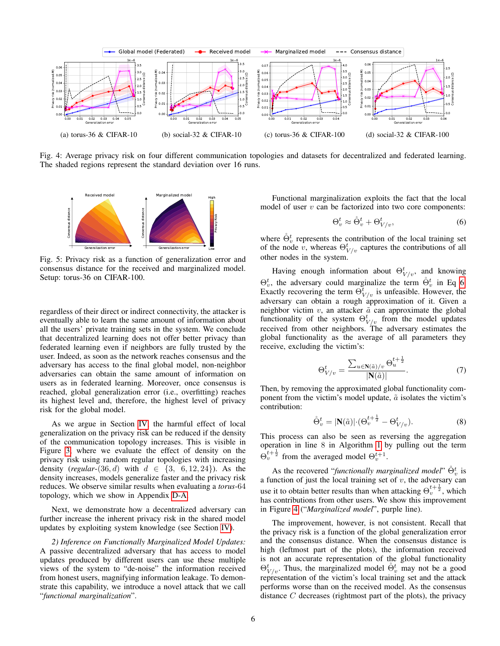<span id="page-5-1"></span>

The shaded regions represent the standard deviation over 16 runs.

<span id="page-5-4"></span>

Fig. 5: Privacy risk as a function of generalization error and consensus distance for the received and marginalized model. Setup: torus-36 on CIFAR-100.

regardless of their direct or indirect connectivity, the attacker is eventually able to learn the same amount of information about all the users' private training sets in the system. We conclude that decentralized learning does not offer better privacy than federated learning even if neighbors are fully trusted by the user. Indeed, as soon as the network reaches consensus and the adversary has access to the final global model, non-neighbor adversaries can obtain the same amount of information on users as in federated learning. Moreover, once consensus is reached, global generalization error (i.e., overfitting) reaches its highest level and, therefore, the highest level of privacy risk for the global model.

As we argue in Section [IV,](#page-3-0) the harmful effect of local generalization on the privacy risk can be reduced if the density of the communication topology increases. This is visible in Figure [3,](#page-4-2) where we evaluate the effect of density on the privacy risk using random regular topologies with increasing density (*regular*-(36, d) with  $d \in \{3, 6, 12, 24\}$ ). As the density increases, models generalize faster and the privacy risk reduces. We observe similar results when evaluating a *torus*-64 topology, which we show in Appendix [D-A.](#page-16-1)

Next, we demonstrate how a decentralized adversary can further increase the inherent privacy risk in the shared model updates by exploiting system knowledge (see Section [IV\)](#page-3-0).

<span id="page-5-0"></span>*2) Inference on Functionally Marginalized Model Updates:* A passive decentralized adversary that has access to model updates produced by different users can use these multiple views of the system to "de-noise" the information received from honest users, magnifying information leakage. To demonstrate this capability, we introduce a novel attack that we call "*functional marginalization*".

Functional marginalization exploits the fact that the local model of user  $v$  can be factorized into two core components:

<span id="page-5-2"></span>
$$
\Theta_v^t \approx \mathring{\Theta}_v^t + \Theta_{V/v}^t,\tag{6}
$$

where  $\dot{\Theta}^t_v$  represents the contribution of the local training set of the node  $\hat{v}$ , whereas  $\Theta_{V/v}^t$  captures the contributions of all other nodes in the system.

Having enough information about  $\Theta_{V/v}^t$ , and knowing  $\Theta_v^t$ , the adversary could marginalize the term  $\dot{\Theta}_v^t$  in Eq [6.](#page-5-2) Exactly recovering the term  $\Theta_{V/v}^{\overline{t}}$  is unfeasible. However, the adversary can obtain a rough approximation of it. Given a neighbor victim  $v$ , an attacker  $\tilde{a}$  can approximate the global functionality of the system  $\Theta_{V/v}^t$  from the model updates received from other neighbors. The adversary estimates the global functionality as the average of all parameters they receive, excluding the victim's:

$$
\Theta_{V/v}^{t} = \frac{\sum_{u \in \mathbf{N}(\tilde{a})/v} \Theta_{u}^{t + \frac{1}{2}}}{|\mathbf{N}(\tilde{a})|}.
$$
\n(7)

Then, by removing the approximated global functionality component from the victim's model update,  $\tilde{a}$  isolates the victim's contribution:

<span id="page-5-3"></span>
$$
\mathring{\Theta}^t_v = |\mathbf{N}(\tilde{a})| \cdot (\Theta^{t + \frac{1}{2}}_v - \Theta^t_{V/v}). \tag{8}
$$

This process can also be seen as reversing the aggregation operation in line 8 in Algorithm [1](#page-2-0) by pulling out the term  $\Theta_v^{t+\frac{1}{2}}$  from the averaged model  $\Theta_v^{t+1}$ .

As the recovered "functionally marginalized model"  $\mathring{\Theta}_v^t$  is a function of just the local training set of  $v$ , the adversary can use it to obtain better results than when attacking  $\Theta_v^{t+\frac{1}{2}}$ , which has contributions from other users. We show this improvement in Figure [4](#page-5-1) ("*Marginalized model*", purple line).

The improvement, however, is not consistent. Recall that the privacy risk is a function of the global generalization error and the consensus distance. When the consensus distance is high (leftmost part of the plots), the information received is not an accurate representation of the global functionality  $\Theta_{V/v}^t$ . Thus, the marginalized model  $\Theta_v^t$  may not be a good representation of the victim's local training set and the attack performs worse than on the received model. As the consensus distance C decreases (rightmost part of the plots), the privacy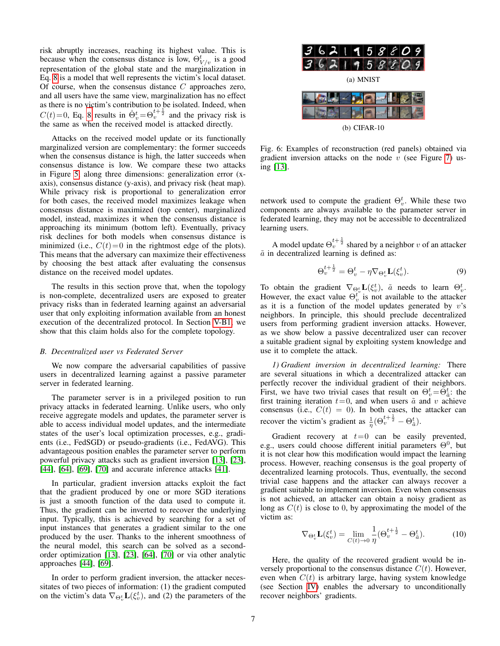risk abruptly increases, reaching its highest value. This is because when the consensus distance is low,  $\Theta_{V/v}^{t}$  is a good representation of the global state and the marginalization in Eq. [8](#page-5-3) is a model that well represents the victim's local dataset. Of course, when the consensus distance  $C$  approaches zero, and all users have the same view, marginalization has no effect as there is no victim's contribution to be isolated. Indeed, when  $C(t)=0$ , Eq. [8](#page-5-3) results in  $\mathring{\Theta}_v^t = \Theta_v^{t+\frac{1}{2}}$  and the privacy risk is the same as when the received model is attacked directly.

Attacks on the received model update or its functionally marginalized version are complementary: the former succeeds when the consensus distance is high, the latter succeeds when consensus distance is low. We compare these two attacks in Figure [5,](#page-5-4) along three dimensions: generalization error (xaxis), consensus distance (y-axis), and privacy risk (heat map). While privacy risk is proportional to generalization error for both cases, the received model maximizes leakage when consensus distance is maximized (top center), marginalized model, instead, maximizes it when the consensus distance is approaching its minimum (bottom left). Eventually, privacy risk declines for both models when consensus distance is minimized (i.e.,  $C(t)=0$  in the rightmost edge of the plots). This means that the adversary can maximize their effectiveness by choosing the best attack after evaluating the consensus distance on the received model updates.

The results in this section prove that, when the topology is non-complete, decentralized users are exposed to greater privacy risks than in federated learning against an adversarial user that only exploiting information available from an honest execution of the decentralized protocol. In Section [V-B1,](#page-6-0) we show that this claim holds also for the complete topology.

# <span id="page-6-2"></span>*B. Decentralized user vs Federated Server*

We now compare the adversarial capabilities of passive users in decentralized learning against a passive parameter server in federated learning.

The parameter server is in a privileged position to run privacy attacks in federated learning. Unlike users, who only receive aggregate models and updates, the parameter server is able to access individual model updates, and the intermediate states of the user's local optimization processes, e.g., gradients (i.e., FedSGD) or pseudo-gradients (i.e., FedAVG). This advantageous position enables the parameter server to perform powerful privacy attacks such as gradient inversion [\[13\]](#page-13-3), [\[23\]](#page-13-21), [\[44\]](#page-14-24), [\[64\]](#page-14-25), [\[69\]](#page-14-26), [\[70\]](#page-14-3) and accurate inference attacks [\[41\]](#page-14-23).

In particular, gradient inversion attacks exploit the fact that the gradient produced by one or more SGD iterations is just a smooth function of the data used to compute it. Thus, the gradient can be inverted to recover the underlying input. Typically, this is achieved by searching for a set of input instances that generates a gradient similar to the one produced by the user. Thanks to the inherent smoothness of the neural model, this search can be solved as a secondorder optimization [\[13\]](#page-13-3), [\[23\]](#page-13-21), [\[64\]](#page-14-25), [\[70\]](#page-14-3) or via other analytic approaches [\[44\]](#page-14-24), [\[69\]](#page-14-26).

In order to perform gradient inversion, the attacker necessitates of two pieces of information: (1) the gradient computed on the victim's data  $\nabla_{\Theta_v^t} \mathbf{L}(\xi_v^t)$ , and (2) the parameters of the

<span id="page-6-1"></span>

Fig. 6: Examples of reconstruction (red panels) obtained via gradient inversion attacks on the node  $\overline{v}$  (see Figure [7\)](#page-7-0) using [\[13\]](#page-13-3).

network used to compute the gradient  $\Theta_v^t$ . While these two components are always available to the parameter server in federated learning, they may not be accessible to decentralized learning users.

A model update  $\Theta_v^{t+\frac{1}{2}}$  shared by a neighbor  $v$  of an attacker  $\tilde{a}$  in decentralized learning is defined as:

$$
\Theta_v^{t+\frac{1}{2}} = \Theta_v^t - \eta \nabla_{\Theta_v^t} \mathbf{L}(\xi_v^t). \tag{9}
$$

To obtain the gradient  $\nabla_{\Theta_v^t} \mathbf{L}(\xi_v^t)$ ,  $\tilde{a}$  needs to learn  $\Theta_v^t$ . However, the exact value  $\Theta_v^{t}$  is not available to the attacker as it is a function of the model updates generated by  $v$ 's neighbors. In principle, this should preclude decentralized users from performing gradient inversion attacks. However, as we show below a passive decentralized user can recover a suitable gradient signal by exploiting system knowledge and use it to complete the attack.

<span id="page-6-0"></span>*1) Gradient inversion in decentralized learning:* There are several situations in which a decentralized attacker can perfectly recover the individual gradient of their neighbors. First, we have two trivial cases that result on  $\Theta_v^t = \tilde{\Theta}_{\tilde{a}}^t$ : the first training iteration  $t=0$ , and when users  $\tilde{a}$  and v achieve consensus (i.e.,  $C(t) = 0$ ). In both cases, the attacker can recover the victim's gradient as  $\frac{1}{\eta}(\Theta_v^{t+\frac{1}{2}} - \Theta_{\tilde{a}}^t)$ .

Gradient recovery at  $t=0$  can be easily prevented, e.g., users could choose different initial parameters  $\Theta^0$ , but it is not clear how this modification would impact the learning process. However, reaching consensus is the goal property of decentralized learning protocols. Thus, eventually, the second trivial case happens and the attacker can always recover a gradient suitable to implement inversion. Even when consensus is not achieved, an attacker can obtain a noisy gradient as long as  $C(t)$  is close to 0, by approximating the model of the victim as:

$$
\nabla_{\Theta_v^t} \mathbf{L}(\xi_v^t) = \lim_{C(t) \to 0} \frac{1}{\eta} (\Theta_v^{t + \frac{1}{2}} - \Theta_{\tilde{a}}^t). \tag{10}
$$

Here, the quality of the recovered gradient would be inversely proportional to the consensus distance  $C(t)$ . However, even when  $C(t)$  is arbitrary large, having system knowledge (see Section [IV\)](#page-3-0) enables the adversary to unconditionally recover neighbors' gradients.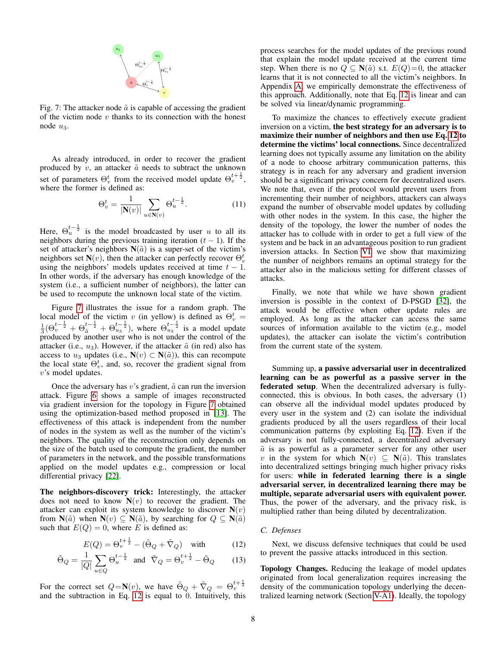

<span id="page-7-0"></span>Fig. 7: The attacker node  $\tilde{a}$  is capable of accessing the gradient of the victim node  $v$  thanks to its connection with the honest node  $u_3$ .

As already introduced, in order to recover the gradient produced by  $v$ , an attacker  $\tilde{a}$  needs to subtract the unknown set of parameters  $\Theta_v^t$  from the received model update  $\Theta_v^{t+\frac{1}{2}}$ , where the former is defined as:

$$
\Theta_v^t = \frac{1}{|\mathbf{N}(v)|} \sum_{u \in \mathbf{N}(v)} \Theta_u^{t - \frac{1}{2}}.
$$
 (11)

Here,  $\Theta_u^{t-\frac{1}{2}}$  is the model broadcasted by user u to all its neighbors during the previous training iteration  $(t - 1)$ . If the set of attacker's neighbors  $N(\tilde{a})$  is a super-set of the victim's neighbors set  $\mathbf{N}(v)$ , then the attacker can perfectly recover  $\Theta_v^t$ using the neighbors' models updates received at time  $t - 1$ . In other words, if the adversary has enough knowledge of the system (i.e., a sufficient number of neighbors), the latter can be used to recompute the unknown local state of the victim.

Figure [7](#page-7-0) illustrates the issue for a random graph. The local model of the victim v (in yellow) is defined as  $\Theta_v^t = \frac{1}{3}(\Theta_v^{t-\frac{1}{2}} + \Theta_{\tilde{a}}^{t-\frac{1}{2}} + \Theta_{u_3}^{t-\frac{1}{2}})$ , where  $\Theta_{u_3}^{t-\frac{1}{2}}$  is a model update produced by another user who is not under the control of the attacker (i.e.,  $u_3$ ). However, if the attacker  $\tilde{a}$  (in red) also has access to  $u_3$  updates (i.e.,  $\mathbf{N}(v) \subset \mathbf{N}(\tilde{a})$ ), this can recompute the local state  $\Theta_v^t$ , and, so, recover the gradient signal from v's model updates.

Once the adversary has  $v$ 's gradient,  $\tilde{a}$  can run the inversion attack. Figure [6](#page-6-1) shows a sample of images reconstructed via gradient inversion for the topology in Figure [7](#page-7-0) obtained using the optimization-based method proposed in [\[13\]](#page-13-3). The effectiveness of this attack is independent from the number of nodes in the system as well as the number of the victim's neighbors. The quality of the reconstruction only depends on the size of the batch used to compute the gradient, the number of parameters in the network, and the possible transformations applied on the model updates e.g., compression or local differential privacy [\[22\]](#page-13-22).

The neighbors-discovery trick: Interestingly, the attacker does not need to know  $N(v)$  to recover the gradient. The attacker can exploit its system knowledge to discover  $N(v)$ from  $N(\tilde{a})$  when  $N(v) \subseteq N(\tilde{a})$ , by searching for  $Q \subseteq N(\tilde{a})$ such that  $E(Q) = 0$ , where E is defined as:

$$
E(Q) = \Theta_v^{t + \frac{1}{2}} - (\tilde{\Theta}_Q + \tilde{\nabla}_Q) \quad \text{with} \tag{12}
$$

$$
\tilde{\Theta}_Q = \frac{1}{|Q|} \sum_{u \in Q} \Theta_u^{t - \frac{1}{2}} \quad \text{and} \quad \tilde{\nabla}_Q = \Theta_v^{t + \frac{1}{2}} - \tilde{\Theta}_Q \tag{13}
$$

For the correct set  $Q = \mathbf{N}(v)$ , we have  $\tilde{\Theta}_Q + \tilde{\nabla}_Q = \Theta_v^{t + \frac{1}{2}}$ and the subtraction in Eq.  $12$  is equal to  $0$ . Intuitively, this process searches for the model updates of the previous round that explain the model update received at the current time step. When there is no  $Q \subseteq N(\tilde{a})$  s.t.  $E(Q)=0$ , the attacker learns that it is not connected to all the victim's neighbors. In Appendix [A,](#page-14-27) we empirically demonstrate the effectiveness of this approach. Additionally, note that Eq. [12](#page-7-1) is linear and can be solved via linear/dynamic programming.

To maximize the chances to effectively execute gradient inversion on a victim, the best strategy for an adversary is to maximize their number of neighbors and then use Eq. [12](#page-7-1) to determine the victims' local connections. Since decentralized learning does not typically assume any limitation on the ability of a node to choose arbitrary communication patterns, this strategy is in reach for any adversary and gradient inversion should be a significant privacy concern for decentralized users. We note that, even if the protocol would prevent users from incrementing their number of neighbors, attackers can always expand the number of observable model updates by colluding with other nodes in the system. In this case, the higher the density of the topology, the lower the number of nodes the attacker has to collude with in order to get a full view of the system and be back in an advantageous position to run gradient inversion attacks. In Section [VI,](#page-8-0) we show that maximizing the number of neighbors remains an optimal strategy for the attacker also in the malicious setting for different classes of attacks.

Finally, we note that while we have shown gradient inversion is possible in the context of D-PSGD [\[32\]](#page-13-0), the attack would be effective when other update rules are employed. As long as the attacker can access the same sources of information available to the victim (e.g., model updates), the attacker can isolate the victim's contribution from the current state of the system.

Summing up, a passive adversarial user in decentralized learning can be as powerful as a passive server in the federated setup. When the decentralized adversary is fullyconnected, this is obvious. In both cases, the adversary (1) can observe all the individual model updates produced by every user in the system and (2) can isolate the individual gradients produced by all the users regardless of their local communication patterns (by exploiting Eq. [12\)](#page-7-1). Even if the adversary is not fully-connected, a decentralized adversary  $\tilde{a}$  is as powerful as a parameter server for any other user v in the system for which  $N(v) \subseteq N(\tilde{a})$ . This translates into decentralized settings bringing much higher privacy risks for users: while in federated learning there is a single adversarial server, in decentralized learning there may be multiple, separate adversarial users with equivalent power. Thus, the power of the adversary, and the privacy risk, is multiplied rather than being diluted by decentralization.

# *C. Defenses*

<span id="page-7-1"></span>Next, we discuss defensive techniques that could be used to prevent the passive attacks introduced in this section.

Topology Changes. Reducing the leakage of model updates originated from local generalization requires increasing the density of the communication topology underlying the decentralized learning network (Section [V-A1\)](#page-4-3). Ideally, the topology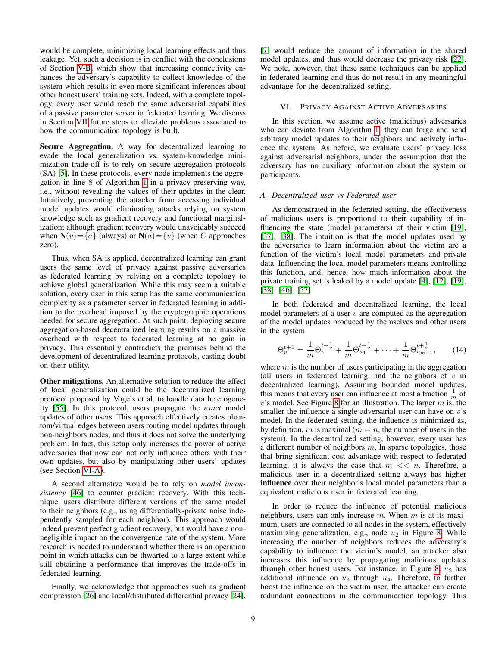would be complete, minimizing local learning effects and thus leakage. Yet, such a decision is in conflict with the conclusions of Section [V-B,](#page-6-2) which show that increasing connectivity enhances the adversary's capability to collect knowledge of the system which results in even more significant inferences about other honest users' training sets. Indeed, with a complete topology, every user would reach the same adversarial capabilities of a passive parameter server in federated learning. We discuss in Section [VII](#page-11-0) future steps to alleviate problems associated to how the communication topology is built.

Secure Aggregation. A way for decentralized learning to evade the local generalization vs. system-knowledge minimization trade-off is to rely on secure aggregation protocols (SA) [\[5\]](#page-13-23). In these protocols, every node implements the aggregation in line 8 of Algorithm [1](#page-2-0) in a privacy-preserving way, i.e., without revealing the values of their updates in the clear. Intuitively, preventing the attacker from accessing individual model updates would eliminating attacks relying on system knowledge such as gradient recovery and functional marginalization; although gradient recovery would unavoidably succeed when  $N(v) = {\tilde{a}}$  (always) or  $N(\tilde{a}) = \{v\}$  (when C approaches zero).

Thus, when SA is applied, decentralized learning can grant users the same level of privacy against passive adversaries as federated learning by relying on a complete topology to achieve global generalization. While this may seem a suitable solution, every user in this setup has the same communication complexity as a parameter server in federated learning in addition to the overhead imposed by the cryptographic operations needed for secure aggregation. At such point, deploying secure aggregation-based decentralized learning results on a massive overhead with respect to federated learning at no gain in privacy. This essentially contradicts the premises behind the development of decentralized learning protocols, casting doubt on their utility.

Other mitigations. An alternative solution to reduce the effect of local generalization could be the decentralized learning protocol proposed by Vogels et al. to handle data heterogeneity [\[55\]](#page-14-10). In this protocol, users propagate the *exact* model updates of other users. This approach effectively creates phantom/virtual edges between users routing model updates through non-neighbors nodes, and thus it does not solve the underlying problem. In fact, this setup only increases the power of active adversaries that now can not only influence others with their own updates, but also by manipulating other users' updates (see Section [VI-A\)](#page-8-1).

A second alternative would be to rely on *model inconsistency* [\[46\]](#page-14-1) to counter gradient recovery. With this technique, users distribute different versions of the same model to their neighbors (e.g., using differentially-private noise independently sampled for each neighbor). This approach would indeed prevent perfect gradient recovery, but would have a nonnegligible impact on the convergence rate of the system. More research is needed to understand whether there is an operation point in which attacks can be thwarted to a large extent while still obtaining a performance that improves the trade-offs in federated learning.

Finally, we acknowledge that approaches such as gradient compression [\[26\]](#page-13-8) and local/distributed differential privacy [\[24\]](#page-13-24),

[\[7\]](#page-13-25) would reduce the amount of information in the shared model updates, and thus would decrease the privacy risk [\[22\]](#page-13-22). We note, however, that these same techniques can be applied in federated learning and thus do not result in any meaningful advantage for the decentralized setting.

#### <span id="page-8-0"></span>VI. PRIVACY AGAINST ACTIVE ADVERSARIES

In this section, we assume active (malicious) adversaries who can deviate from Algorithm [1:](#page-2-0) they can forge and send arbitrary model updates to their neighbors and actively influence the system. As before, we evaluate users' privacy loss against adversarial neighbors, under the assumption that the adversary has no auxiliary information about the system or participants.

#### <span id="page-8-1"></span>*A. Decentralized user vs Federated user*

As demonstrated in the federated setting, the effectiveness of malicious users is proportional to their capability of in-fluencing the state (model parameters) of their victim [\[19\]](#page-13-26), [\[37\]](#page-14-28), [\[38\]](#page-14-29). The intuition is that the model updates used by the adversaries to learn information about the victim are a function of the victim's local model parameters and private data. Influencing the local model parameters means controlling this function, and, hence, how much information about the private training set is leaked by a model update [\[4\]](#page-13-1), [\[12\]](#page-13-2), [\[19\]](#page-13-26), [\[38\]](#page-14-29), [\[46\]](#page-14-1), [\[57\]](#page-14-2).

In both federated and decentralized learning, the local model parameters of a user  $v$  are computed as the aggregation of the model updates produced by themselves and other users in the system:

$$
\Theta_v^{t+1} = \frac{1}{m} \Theta_v^{t+\frac{1}{2}} + \frac{1}{m} \Theta_{u_1}^{t+\frac{1}{2}} + \dots + \frac{1}{m} \Theta_{u_{m-1}}^{t+\frac{1}{2}},\qquad(14)
$$

where  $m$  is the number of users participating in the aggregation (all users in federated learning, and the neighbors of  $v$  in decentralized learning). Assuming bounded model updates, this means that every user can influence at most a fraction  $\frac{1}{m}$  of  $v$ 's model. See Figure [8](#page-9-0) for an illustration. The larger  $m$  is, the smaller the influence a single adversarial user can have on  $v$ 's model. In the federated setting, the influence is minimized as, by definition, m is maximal ( $m = n$ , the number of users in the system). In the decentralized setting, however, every user has a different number of neighbors  $m$ . In sparse topologies, those that bring significant cost advantage with respect to federated learning, it is always the case that  $m \ll n$ . Therefore, a malicious user in a decentralized setting always has higher influence over their neighbor's local model parameters than a equivalent malicious user in federated learning.

In order to reduce the influence of potential malicious neighbors, users can only increase  $m$ . When  $m$  is at its maximum, users are connected to all nodes in the system, effectively maximizing generalization, e.g., node  $u_2$  in Figure [8,](#page-9-0) While increasing the number of neighbors reduces the adversary's capability to influence the victim's model, an attacker also increases this influence by propagating malicious updates through other honest users. For instance, in Figure [8,](#page-9-0)  $u_2$  has additional influence on  $u_3$  through  $u_4$ . Therefore, to further boost the influence on the victim user, the attacker can create redundant connections in the communication topology. This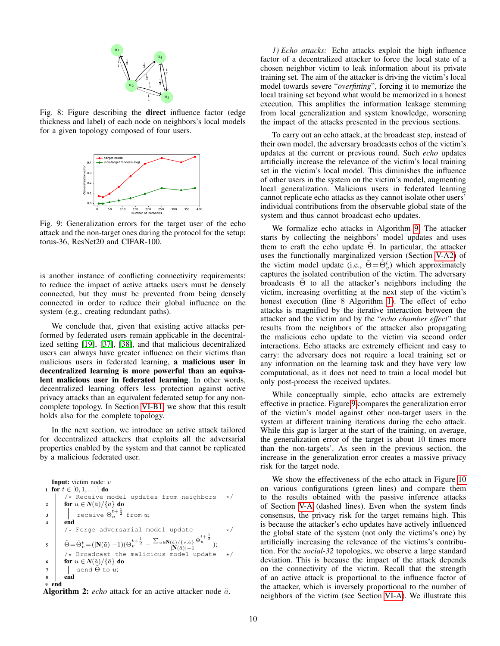<span id="page-9-0"></span>

Fig. 8: Figure describing the direct influence factor (edge thickness and label) of each node on neighbors's local models for a given topology composed of four users.

<span id="page-9-2"></span>

Fig. 9: Generalization errors for the target user of the echo attack and the non-target ones during the protocol for the setup: torus-36, ResNet20 and CIFAR-100.

is another instance of conflicting connectivity requirements: to reduce the impact of active attacks users must be densely connected, but they must be prevented from being densely connected in order to reduce their global influence on the system (e.g., creating redundant paths).

We conclude that, given that existing active attacks performed by federated users remain applicable in the decentralized setting [\[19\]](#page-13-26), [\[37\]](#page-14-28), [\[38\]](#page-14-29), and that malicious decentralized users can always have greater influence on their victims than malicious users in federated learning, a malicious user in decentralized learning is more powerful than an equivalent malicious user in federated learning. In other words, decentralized learning offers less protection against active privacy attacks than an equivalent federated setup for any noncomplete topology. In Section [VI-B1,](#page-10-0) we show that this result holds also for the complete topology.

In the next section, we introduce an active attack tailored for decentralized attackers that exploits all the adversarial properties enabled by the system and that cannot be replicated by a malicious federated user.

```
Input: victim node: v
1 for t \in [0, 1, \dots] do
          /* Receive model updates from neighbors */
2 for u \in N(\tilde{a})/\{\tilde{a}\} do
3 \vert receive \Theta_u^{t+\frac{1}{2}}from u;
4 \mid endForge adversarial model update */
5 \quad \tilde{\Theta} = \hat{\Theta}_v^t = (|\mathbf{N}(\tilde{a})|-1) (\Theta_v^{t+\frac{1}{2}} - \frac{\sum_{u \in \mathbf{N}(\tilde{a})/\{v,\tilde{a}\}} \Theta}{|\mathbf{N}(\tilde{a})|-1})t + \frac{1}{2}\overline{2}u
                                                             |N(\tilde{a})|-1);
         /* Broadcast the malicious model update */for u \in N(\tilde{a})/\{\tilde{a}\} do
7 \mid send \tilde{\Theta} to u;
8 end
9 end
```
<span id="page-9-1"></span>Algorithm 2:  $echo$  attack for an active attacker node  $\tilde{a}$ .

*1) Echo attacks:* Echo attacks exploit the high influence factor of a decentralized attacker to force the local state of a chosen neighbor victim to leak information about its private training set. The aim of the attacker is driving the victim's local model towards severe "*overfitting*", forcing it to memorize the local training set beyond what would be memorized in a honest execution. This amplifies the information leakage stemming from local generalization and system knowledge, worsening the impact of the attacks presented in the previous sections.

To carry out an echo attack, at the broadcast step, instead of their own model, the adversary broadcasts echos of the victim's updates at the current or previous round. Such *echo* updates artificially increase the relevance of the victim's local training set in the victim's local model. This diminishes the influence of other users in the system on the victim's model, augmenting local generalization. Malicious users in federated learning cannot replicate echo attacks as they cannot isolate other users' individual contributions from the observable global state of the system and thus cannot broadcast echo updates.

We formalize echo attacks in Algorithm [9.](#page-9-1) The attacker starts by collecting the neighbors' model updates and uses them to craft the echo update  $\Theta$ . In particular, the attacker uses the functionally marginalized version (Section [V-A2\)](#page-5-0) of the victim model update (i.e.,  $\tilde{\Theta} = \dot{\Theta}_v^t$ ) which approximately captures the isolated contribution of the victim. The adversary broadcasts  $\Theta$  to all the attacker's neighbors including the victim, increasing overfitting at the next step of the victim's honest execution (line 8 Algorithm [1\)](#page-2-0). The effect of echo attacks is magnified by the iterative interaction between the attacker and the victim and by the "*echo chamber effect*" that results from the neighbors of the attacker also propagating the malicious echo update to the victim via second order interactions. Echo attacks are extremely efficient and easy to carry: the adversary does not require a local training set or any information on the learning task and they have very low computational, as it does not need to train a local model but only post-process the received updates.

While conceptually simple, echo attacks are extremely effective in practice. Figure [9](#page-9-2) compares the generalization error of the victim's model against other non-target users in the system at different training iterations during the echo attack. While this gap is larger at the start of the training, on average, the generalization error of the target is about 10 times more than the non-targets'. As seen in the previous section, the increase in the generalization error creates a massive privacy risk for the target node.

We show the effectiveness of the echo attack in Figure [10](#page-11-1) on various configurations (green lines) and compare them to the results obtained with the passive inference attacks of Section [V-A](#page-4-4) (dashed lines). Even when the system finds consensus, the privacy risk for the target remains high. This is because the attacker's echo updates have actively influenced the global state of the system (not only the victims's one) by artificially increasing the relevance of the victims's contribution. For the *social-32* topologies, we observe a large standard deviation. This is because the impact of the attack depends on the connectivity of the victim. Recall that the strength of an active attack is proportional to the influence factor of the attacker, which is inversely proportional to the number of neighbors of the victim (see Section [VI-A\)](#page-8-1). We illustrate this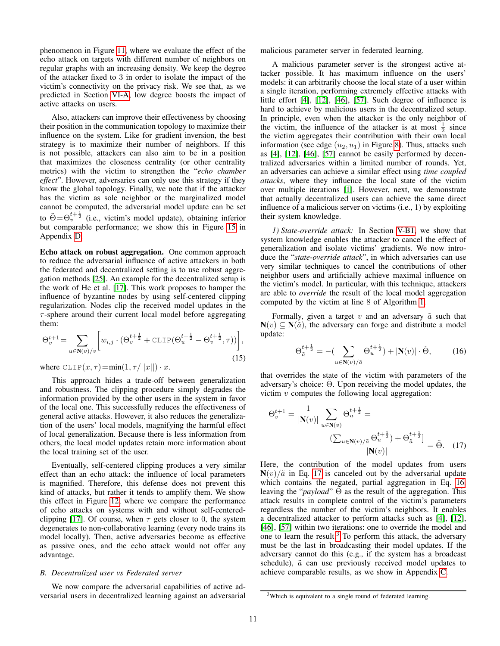phenomenon in Figure [11,](#page-11-2) where we evaluate the effect of the echo attack on targets with different number of neighbors on regular graphs with an increasing density. We keep the degree of the attacker fixed to 3 in order to isolate the impact of the victim's connectivity on the privacy risk. We see that, as we predicted in Section [VI-A,](#page-8-1) low degree boosts the impact of active attacks on users.

Also, attackers can improve their effectiveness by choosing their position in the communication topology to maximize their influence on the system. Like for gradient inversion, the best strategy is to maximize their number of neighbors. If this is not possible, attackers can also aim to be in a position that maximizes the closeness centrality (or other centrality metrics) with the victim to strengthen the "*echo chamber effect*". However, adversaries can only use this strategy if they know the global topology. Finally, we note that if the attacker has the victim as sole neighbor or the marginalized model cannot be computed, the adversarial model update can be set to  $\tilde{\Theta} = \Theta_v^{t+\frac{1}{2}}$  (i.e., victim's model update), obtaining inferior but comparable performance; we show this in Figure [15](#page-15-1) in Appendix [D.](#page-15-2)

Echo attack on robust aggregation. One common approach to reduce the adversarial influence of active attackers in both the federated and decentralized setting is to use robust aggregation methods [\[25\]](#page-13-27). An example for the decentralized setup is the work of He et al. [\[17\]](#page-13-18). This work proposes to hamper the influence of byzantine nodes by using self-centered clipping regularization. Nodes clip the received model updates in the  $\tau$ -sphere around their current local model before aggregating them:

$$
\Theta_v^{t+1} = \sum_{u \in \mathbf{N}(v)/v} \left[ w_{i,j} \cdot (\Theta_v^{t+\frac{1}{2}} + \text{CLIP}(\Theta_u^{t+\frac{1}{2}} - \Theta_v^{t+\frac{1}{2}}, \tau)) \right],\tag{15}
$$

where  $CLIP(x, \tau) = min(1, \tau/||x||) \cdot x$ .

This approach hides a trade-off between generalization and robustness. The clipping procedure simply degrades the information provided by the other users in the system in favor of the local one. This successfully reduces the effectiveness of general active attacks. However, it also reduces the generalization of the users' local models, magnifying the harmful effect of local generalization. Because there is less information from others, the local model updates retain more information about the local training set of the user.

Eventually, self-centered clipping produces a very similar effect than an echo attack: the influence of local parameters is magnified. Therefore, this defense does not prevent this kind of attacks, but rather it tends to amplify them. We show this effect in Figure [12,](#page-11-3) where we compare the performance of echo attacks on systems with and without self-centered-clipping [\[17\]](#page-13-18). Of course, when  $\tau$  gets closer to 0, the system degenerates to non-collaborative learning (every node trains its model locally). Then, active adversaries become as effective as passive ones, and the echo attack would not offer any advantage.

# <span id="page-10-4"></span>*B. Decentralized user vs Federated server*

We now compare the adversarial capabilities of active adversarial users in decentralized learning against an adversarial malicious parameter server in federated learning.

A malicious parameter server is the strongest active attacker possible. It has maximum influence on the users' models: it can arbitrarily choose the local state of a user within a single iteration, performing extremely effective attacks with little effort [\[4\]](#page-13-1), [\[12\]](#page-13-2), [\[46\]](#page-14-1), [\[57\]](#page-14-2). Such degree of influence is hard to achieve by malicious users in the decentralized setup. In principle, even when the attacker is the only neighbor of the victim, the influence of the attacker is at most  $\frac{1}{2}$  since the victim aggregates their contribution with their own local information (see edge  $(u_2, u_1)$  in Figure [8\)](#page-9-0). Thus, attacks such as [\[4\]](#page-13-1), [\[12\]](#page-13-2), [\[46\]](#page-14-1), [\[57\]](#page-14-2) cannot be easily performed by decentralized adversaries within a limited number of rounds. Yet, an adversaries can achieve a similar effect using *time coupled attacks*, where they influence the local state of the victim over multiple iterations [\[1\]](#page-13-28). However, next, we demonstrate that actually decentralized users can achieve the same direct influence of a malicious server on victims (i.e., 1) by exploiting their system knowledge.

<span id="page-10-0"></span>*1) State-override attack:* In Section [V-B1,](#page-6-0) we show that system knowledge enables the attacker to cancel the effect of generalization and isolate victims' gradients. We now introduce the "*state-override attack*", in which adversaries can use very similar techniques to cancel the contributions of other neighbor users and artificially achieve maximal influence on the victim's model. In particular, with this technique, attackers are able to *override* the result of the local model aggregation computed by the victim at line 8 of Algorithm [1.](#page-2-0)

Formally, given a target v and an adversary  $\tilde{a}$  such that  $N(v) \subseteq N(\tilde{a})$ , the adversary can forge and distribute a model update:

<span id="page-10-2"></span><span id="page-10-1"></span>
$$
\Theta_{\tilde{a}}^{t+\frac{1}{2}} = -\left(\sum_{u \in \mathbf{N}(v)/\tilde{a}} \Theta_{u}^{t+\frac{1}{2}}\right) + |\mathbf{N}(v)| \cdot \tilde{\Theta},\tag{16}
$$

that overrides the state of the victim with parameters of the adversary's choice: Θ. Upon receiving the model updates, the victim  $v$  computes the following local aggregation:

$$
\Theta_v^{t+1} = \frac{1}{|\mathbf{N}(v)|} \sum_{u \in \mathbf{N}(v)} \Theta_u^{t+\frac{1}{2}} = \frac{\left(\sum_{u \in \mathbf{N}(v)} \beta_u^{t+\frac{1}{2}}\right) + \Theta_{\tilde{a}}^{t+\frac{1}{2}}}{|\mathbf{N}(v)|} = \tilde{\Theta}.
$$
 (17)

Here, the contribution of the model updates from users  $N(v)/\tilde{a}$  in Eq. [17](#page-10-1) is canceled out by the adversarial update which contains the negated, partial aggregation in Eq. [16,](#page-10-2) leaving the "*payload*" Θ as the result of the aggregation. This attack results in complete control of the victim's parameters regardless the number of the victim's neighbors. It enables a decentralized attacker to perform attacks such as [\[4\]](#page-13-1), [\[12\]](#page-13-2), [\[46\]](#page-14-1), [\[57\]](#page-14-2) within two iterations: one to override the model and one to learn the result.<sup>[3](#page-10-3)</sup> To perform this attack, the adversary must be the last in broadcasting their model updates. If the adversary cannot do this (e.g., if the system has a broadcast schedule),  $\tilde{a}$  can use previously received model updates to achieve comparable results, as we show in Appendix [C.](#page-15-3)

<span id="page-10-3"></span><sup>&</sup>lt;sup>3</sup>Which is equivalent to a single round of federated learning.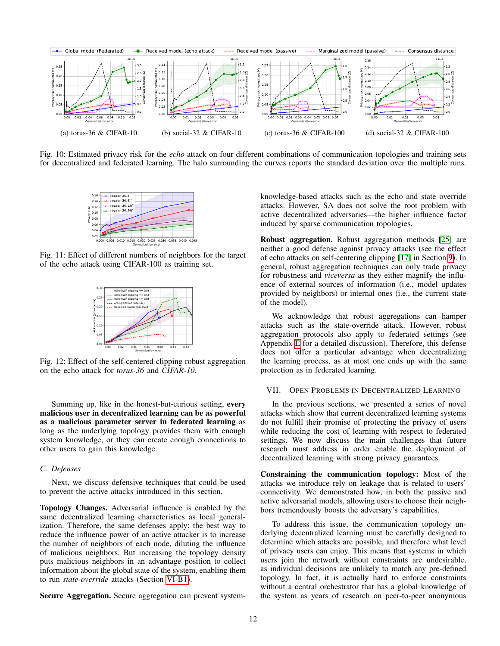<span id="page-11-1"></span>

<span id="page-11-2"></span>Fig. 10: Estimated privacy risk for the *echo* attack on four different combinations of communication topologies and training sets for decentralized and federated learning. The halo surrounding the curves reports the standard deviation over the multiple runs.



<span id="page-11-3"></span>Fig. 11: Effect of different numbers of neighbors for the target of the echo attack using CIFAR-100 as training set.



Fig. 12: Effect of the self-centered clipping robust aggregation on the echo attack for *torus-36* and *CIFAR-10*.

Summing up, like in the honest-but-curious setting, every malicious user in decentralized learning can be as powerful as a malicious parameter server in federated learning as long as the underlying topology provides them with enough system knowledge, or they can create enough connections to other users to gain this knowledge.

#### *C. Defenses*

Next, we discuss defensive techniques that could be used to prevent the active attacks introduced in this section.

Topology Changes. Adversarial influence is enabled by the same decentralized learning characteristics as local generalization. Therefore, the same defenses apply: the best way to reduce the influence power of an active attacker is to increase the number of neighbors of each node, diluting the influence of malicious neighbors. But increasing the topology density puts malicious neighbors in an advantage position to collect information about the global state of the system, enabling them to run *state-override* attacks (Section [VI-B1\)](#page-10-0).

Secure Aggregation. Secure aggregation can prevent system-

knowledge-based attacks such as the echo and state override attacks. However, SA does not solve the root problem with active decentralized adversaries—the higher influence factor induced by sparse communication topologies.

Robust aggregation. Robust aggregation methods [\[25\]](#page-13-27) are neither a good defense against privacy attacks (see the effect of echo attacks on self-centering clipping [\[17\]](#page-13-18) in Section [9\)](#page-11-2). In general, robust aggregation techniques can only trade privacy for robustness and *viceversa* as they either magnify the influence of external sources of information (i.e., model updates provided by neighbors) or internal ones (i.e., the current state of the model).

We acknowledge that robust aggregations can hamper attacks such as the state-override attack. However, robust aggregation protocols also apply to federated settings (see Appendix [E](#page-16-2) for a detailed discussion). Therefore, this defense does not offer a particular advantage when decentralizing the learning process, as at most one ends up with the same protection as in federated learning.

# <span id="page-11-0"></span>VII. OPEN PROBLEMS IN DECENTRALIZED LEARNING

In the previous sections, we presented a series of novel attacks which show that current decentralized learning systems do not fulfill their promise of protecting the privacy of users while reducing the cost of learning with respect to federated settings. We now discuss the main challenges that future research must address in order enable the deployment of decentralized learning with strong privacy guarantees.

Constraining the communication topology: Most of the attacks we introduce rely on leakage that is related to users' connectivity. We demonstrated how, in both the passive and active adversarial models, allowing users to choose their neighbors tremendously boosts the adversary's capabilities.

To address this issue, the communication topology underlying decentralized learning must be carefully designed to determine which attacks are possible, and therefore what level of privacy users can enjoy. This means that systems in which users join the network without constraints are undesirable, as individual decisions are unlikely to match any pre-defined topology. In fact, it is actually hard to enforce constraints without a central orchestrator that has a global knowledge of the system as years of research on peer-to-peer anonymous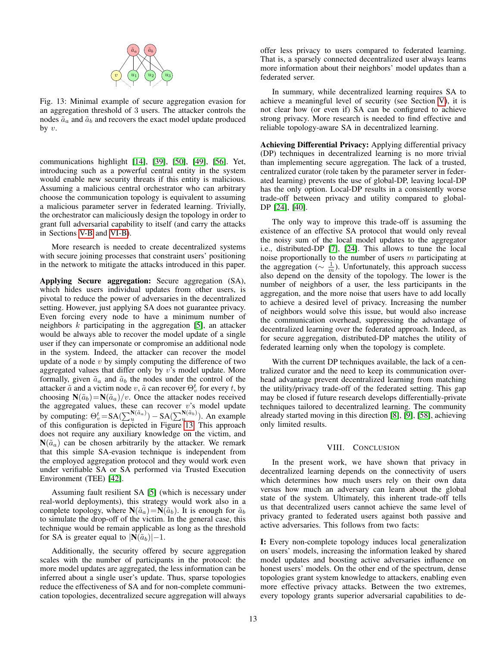<span id="page-12-1"></span>

Fig. 13: Minimal example of secure aggregation evasion for an aggregation threshold of 3 users. The attacker controls the nodes  $\tilde{a}_a$  and  $\tilde{a}_b$  and recovers the exact model update produced by  $v$ .

communications highlight [\[14\]](#page-13-29), [\[39\]](#page-14-30), [\[50\]](#page-14-31), [\[49\]](#page-14-32), [\[56\]](#page-14-33). Yet, introducing such as a powerful central entity in the system would enable new security threats if this entity is malicious. Assuming a malicious central orchestrator who can arbitrary choose the communication topology is equivalent to assuming a malicious parameter server in federated learning. Trivially, the orchestrator can maliciously design the topology in order to grant full adversarial capability to itself (and carry the attacks in Sections [V-B](#page-6-2) and [VI-B\)](#page-10-4).

More research is needed to create decentralized systems with secure joining processes that constraint users' positioning in the network to mitigate the attacks introduced in this paper.

Applying Secure aggregation: Secure aggregation (SA), which hides users individual updates from other users, is pivotal to reduce the power of adversaries in the decentralized setting. However, just applying SA does not guarantee privacy. Even forcing every node to have a minimum number of neighbors  $k$  participating in the aggregation [\[5\]](#page-13-23), an attacker would be always able to recover the model update of a single user if they can impersonate or compromise an additional node in the system. Indeed, the attacker can recover the model update of a node  $v$  by simply computing the difference of two aggregated values that differ only by  $v$ 's model update. More formally, given  $\tilde{a}_a$  and  $\tilde{a}_b$  the nodes under the control of the attacker  $\tilde{a}$  and a victim node v,  $\tilde{a}$  can recover  $\Theta_v^t$  for every t, by choosing  $N(\tilde{a}_b) = N(\tilde{a}_a)/v$ . Once the attacker nodes received the aggregated values, these can recover  $v$ 's model update by computing:  $\Theta_v^t = SA(\sum_{u}^{N(\tilde{a}_a)}) - SA(\sum_{u}^{N(\tilde{a}_b)})$ . An example of this configuration is depicted in Figure [13.](#page-12-1) This approach does not require any auxiliary knowledge on the victim, and  $N(\tilde{a}_a)$  can be chosen arbitrarily by the attacker. We remark that this simple SA-evasion technique is independent from the employed aggregation protocol and they would work even under verifiable SA or SA performed via Trusted Execution Environment (TEE) [\[42\]](#page-14-34).

Assuming fault resilient SA [\[5\]](#page-13-23) (which is necessary under real-world deployments), this strategy would work also in a complete topology, where  $N(\tilde{a}_a) = N(\tilde{a}_b)$ . It is enough for  $\tilde{a}_b$ to simulate the drop-off of the victim. In the general case, this technique would be remain applicable as long as the threshold for SA is greater equal to  $|N(\tilde{a}_b)|-1$ .

Additionally, the security offered by secure aggregation scales with the number of participants in the protocol: the more model updates are aggregated, the less information can be inferred about a single user's update. Thus, sparse topologies reduce the effectiveness of SA and for non-complete communication topologies, decentralized secure aggregation will always offer less privacy to users compared to federated learning. That is, a sparsely connected decentralized user always learns more information about their neighbors' model updates than a federated server.

In summary, while decentralized learning requires SA to achieve a meaningful level of security (see Section [V\)](#page-4-0), it is not clear how (or even if) SA can be configured to achieve strong privacy. More research is needed to find effective and reliable topology-aware SA in decentralized learning.

Achieving Differential Privacy: Applying differential privacy (DP) techniques in decentralized learning is no more trivial than implementing secure aggregation. The lack of a trusted, centralized curator (role taken by the parameter server in federated learning) prevents the use of global-DP, leaving local-DP has the only option. Local-DP results in a consistently worse trade-off between privacy and utility compared to global-DP [\[24\]](#page-13-24), [\[40\]](#page-14-35).

The only way to improve this trade-off is assuming the existence of an effective SA protocol that would only reveal the noisy sum of the local model updates to the aggregator i.e., distributed-DP [\[7\]](#page-13-25), [\[24\]](#page-13-24). This allows to tune the local noise proportionally to the number of users  $m$  participating at the aggregation ( $\sim \frac{1}{m}$ ). Unfortunately, this approach success also depend on the density of the topology. The lower is the number of neighbors of a user, the less participants in the aggregation, and the more noise that users have to add locally to achieve a desired level of privacy. Increasing the number of neighbors would solve this issue, but would also increase the communication overhead, suppressing the advantage of decentralized learning over the federated approach. Indeed, as for secure aggregation, distributed-DP matches the utility of federated learning only when the topology is complete.

With the current DP techniques available, the lack of a centralized curator and the need to keep its communication overhead advantage prevent decentralized learning from matching the utility/privacy trade-off of the federated setting. This gap may be closed if future research develops differentially-private techniques tailored to decentralized learning. The community already started moving in this direction [\[8\]](#page-13-5), [\[9\]](#page-13-30), [\[58\]](#page-14-36), achieving only limited results.

# VIII. CONCLUSION

<span id="page-12-0"></span>In the present work, we have shown that privacy in decentralized learning depends on the connectivity of users which determines how much users rely on their own data versus how much an adversary can learn about the global state of the system. Ultimately, this inherent trade-off tells us that decentralized users cannot achieve the same level of privacy granted to federated users against both passive and active adversaries. This follows from two facts:

I: Every non-complete topology induces local generalization on users' models, increasing the information leaked by shared model updates and boosting active adversaries influence on honest users' models. On the other end of the spectrum, dense topologies grant system knowledge to attackers, enabling even more effective privacy attacks. Between the two extremes, every topology grants superior adversarial capabilities to de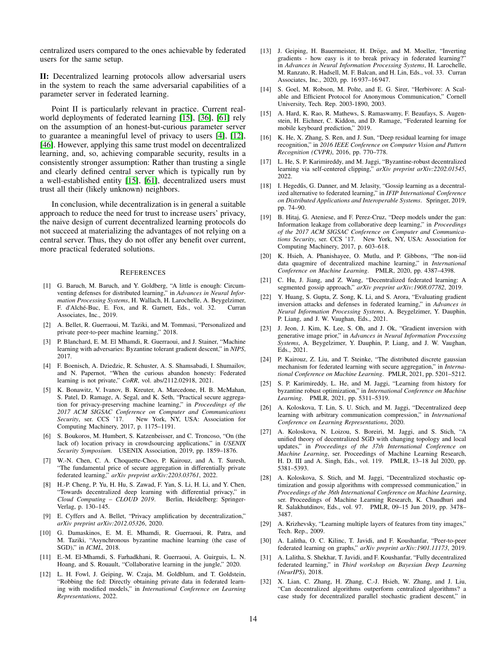centralized users compared to the ones achievable by federated users for the same setup.

II: Decentralized learning protocols allow adversarial users in the system to reach the same adversarial capabilities of a parameter server in federated learning.

Point II is particularly relevant in practice. Current realworld deployments of federated learning [\[15\]](#page-13-31), [\[36\]](#page-14-37), [\[61\]](#page-14-38) rely on the assumption of an honest-but-curious parameter server to guarantee a meaningful level of privacy to users [\[4\]](#page-13-1), [\[12\]](#page-13-2), [\[46\]](#page-14-1). However, applying this same trust model on decentralized learning, and, so, achieving comparable security, results in a consistently stronger assumption: Rather than trusting a single and clearly defined central server which is typically run by a well-established entity [\[15\]](#page-13-31), [\[61\]](#page-14-38), decentralized users must trust all their (likely unknown) neighbors.

In conclusion, while decentralization is in general a suitable approach to reduce the need for trust to increase users' privacy, the naive design of current decentralized learning protocols do not succeed at materializing the advantages of not relying on a central server. Thus, they do not offer any benefit over current, more practical federated solutions.

#### **REFERENCES**

- <span id="page-13-28"></span>[1] G. Baruch, M. Baruch, and Y. Goldberg, "A little is enough: Circumventing defenses for distributed learning," in *Advances in Neural Information Processing Systems*, H. Wallach, H. Larochelle, A. Beygelzimer, F. d'Alche-Buc, E. Fox, and R. Garnett, Eds., vol. 32. Curran ´ Associates, Inc., 2019.
- <span id="page-13-14"></span>[2] A. Bellet, R. Guerraoui, M. Taziki, and M. Tommasi, "Personalized and private peer-to-peer machine learning," 2018.
- <span id="page-13-15"></span>[3] P. Blanchard, E. M. El Mhamdi, R. Guerraoui, and J. Stainer, "Machine learning with adversaries: Byzantine tolerant gradient descent," in *NIPS*, 2017.
- <span id="page-13-1"></span>[4] F. Boenisch, A. Dziedzic, R. Schuster, A. S. Shamsabadi, I. Shumailov, and N. Papernot, "When the curious abandon honesty: Federated learning is not private," *CoRR*, vol. abs/2112.02918, 2021.
- <span id="page-13-23"></span>[5] K. Bonawitz, V. Ivanov, B. Kreuter, A. Marcedone, H. B. McMahan, S. Patel, D. Ramage, A. Segal, and K. Seth, "Practical secure aggregation for privacy-preserving machine learning," in *Proceedings of the 2017 ACM SIGSAC Conference on Computer and Communications Security*, ser. CCS '17. New York, NY, USA: Association for Computing Machinery, 2017, p. 1175–1191.
- <span id="page-13-13"></span>[6] S. Boukoros, M. Humbert, S. Katzenbeisser, and C. Troncoso, "On (the lack of) location privacy in crowdsourcing applications," in *USENIX Security Symposium*. USENIX Association, 2019, pp. 1859–1876.
- <span id="page-13-25"></span>[7] W.-N. Chen, C. A. Choquette-Choo, P. Kairouz, and A. T. Suresh, "The fundamental price of secure aggregation in differentially private federated learning," *arXiv preprint arXiv:2203.03761*, 2022.
- <span id="page-13-5"></span>[8] H.-P. Cheng, P. Yu, H. Hu, S. Zawad, F. Yan, S. Li, H. Li, and Y. Chen, "Towards decentralized deep learning with differential privacy," in Cloud Computing - CLOUD 2019. Berlin, Heidelberg: Springer-*Cloud Computing – CLOUD 2019.* Verlag, p. 130–145.
- <span id="page-13-30"></span>[9] E. Cyffers and A. Bellet, "Privacy amplification by decentralization," *arXiv preprint arXiv:2012.05326*, 2020.
- <span id="page-13-16"></span>[10] G. Damaskinos, E. M. E. Mhamdi, R. Guerraoui, R. Patra, and M. Taziki, "Asynchronous byzantine machine learning (the case of SGD)," in *ICML*, 2018.
- <span id="page-13-17"></span>[11] E.-M. El-Mhamdi, S. Farhadkhani, R. Guerraoui, A. Guirguis, L. N. Hoang, and S. Rouault, "Collaborative learning in the jungle," 2020.
- <span id="page-13-2"></span>[12] L. H. Fowl, J. Geiping, W. Czaja, M. Goldblum, and T. Goldstein, "Robbing the fed: Directly obtaining private data in federated learning with modified models," in *International Conference on Learning Representations*, 2022.
- <span id="page-13-3"></span>[13] J. Geiping, H. Bauermeister, H. Dröge, and M. Moeller, "Inverting gradients - how easy is it to break privacy in federated learning?" in *Advances in Neural Information Processing Systems*, H. Larochelle, M. Ranzato, R. Hadsell, M. F. Balcan, and H. Lin, Eds., vol. 33. Curran Associates, Inc., 2020, pp. 16 937–16 947.
- <span id="page-13-29"></span>[14] S. Goel, M. Robson, M. Polte, and E. G. Sirer, "Herbivore: A Scalable and Efficient Protocol for Anonymous Communication," Cornell University, Tech. Rep. 2003-1890, 2003.
- <span id="page-13-31"></span>[15] A. Hard, K. Rao, R. Mathews, S. Ramaswamy, F. Beaufays, S. Augenstein, H. Eichner, C. Kiddon, and D. Ramage, "Federated learning for mobile keyboard prediction," 2019.
- <span id="page-13-20"></span>[16] K. He, X. Zhang, S. Ren, and J. Sun, "Deep residual learning for image recognition," in *2016 IEEE Conference on Computer Vision and Pattern Recognition (CVPR)*, 2016, pp. 770–778.
- <span id="page-13-18"></span>[17] L. He, S. P. Karimireddy, and M. Jaggi, "Byzantine-robust decentralized learning via self-centered clipping," *arXiv preprint arXiv:2202.01545*, 2022.
- <span id="page-13-6"></span>[18] I. Hegedűs, G. Danner, and M. Jelasity, "Gossip learning as a decentralized alternative to federated learning," in *IFIP International Conference on Distributed Applications and Interoperable Systems*. Springer, 2019, pp. 74–90.
- <span id="page-13-26"></span>[19] B. Hitaj, G. Ateniese, and F. Perez-Cruz, "Deep models under the gan: Information leakage from collaborative deep learning," in *Proceedings of the 2017 ACM SIGSAC Conference on Computer and Communications Security*, ser. CCS '17. New York, NY, USA: Association for Computing Machinery, 2017, p. 603–618.
- <span id="page-13-4"></span>[20] K. Hsieh, A. Phanishayee, O. Mutlu, and P. Gibbons, "The non-iid data quagmire of decentralized machine learning," in *International Conference on Machine Learning*. PMLR, 2020, pp. 4387–4398.
- <span id="page-13-7"></span>[21] C. Hu, J. Jiang, and Z. Wang, "Decentralized federated learning: A segmented gossip approach," *arXiv preprint arXiv:1908.07782*, 2019.
- <span id="page-13-22"></span>[22] Y. Huang, S. Gupta, Z. Song, K. Li, and S. Arora, "Evaluating gradient inversion attacks and defenses in federated learning," in *Advances in Neural Information Processing Systems*, A. Beygelzimer, Y. Dauphin, P. Liang, and J. W. Vaughan, Eds., 2021.
- <span id="page-13-21"></span>[23] J. Jeon, J. Kim, K. Lee, S. Oh, and J. Ok, "Gradient inversion with generative image prior," in *Advances in Neural Information Processing Systems*, A. Beygelzimer, Y. Dauphin, P. Liang, and J. W. Vaughan, Eds., 2021.
- <span id="page-13-24"></span>[24] P. Kairouz, Z. Liu, and T. Steinke, "The distributed discrete gaussian mechanism for federated learning with secure aggregation," in *International Conference on Machine Learning*. PMLR, 2021, pp. 5201–5212.
- <span id="page-13-27"></span>[25] S. P. Karimireddy, L. He, and M. Jaggi, "Learning from history for byzantine robust optimization," in *International Conference on Machine Learning*. PMLR, 2021, pp. 5311–5319.
- <span id="page-13-8"></span>[26] A. Koloskova, T. Lin, S. U. Stich, and M. Jaggi, "Decentralized deep learning with arbitrary communication compression," in *International Conference on Learning Representations*, 2020.
- <span id="page-13-9"></span>[27] A. Koloskova, N. Loizou, S. Boreiri, M. Jaggi, and S. Stich, "A unified theory of decentralized SGD with changing topology and local updates," in *Proceedings of the 37th International Conference on Machine Learning*, ser. Proceedings of Machine Learning Research, H. D. III and A. Singh, Eds., vol. 119. PMLR, 13–18 Jul 2020, pp. 5381–5393.
- <span id="page-13-10"></span>[28] A. Koloskova, S. Stich, and M. Jaggi, "Decentralized stochastic optimization and gossip algorithms with compressed communication," in *Proceedings of the 36th International Conference on Machine Learning*, ser. Proceedings of Machine Learning Research, K. Chaudhuri and R. Salakhutdinov, Eds., vol. 97. PMLR, 09–15 Jun 2019, pp. 3478– 3487.
- <span id="page-13-19"></span>[29] A. Krizhevsky, "Learning multiple layers of features from tiny images," Tech. Rep., 2009.
- <span id="page-13-11"></span>[30] A. Lalitha, O. C. Kilinc, T. Javidi, and F. Koushanfar, "Peer-to-peer federated learning on graphs," *arXiv preprint arXiv:1901.11173*, 2019.
- <span id="page-13-12"></span>[31] A. Lalitha, S. Shekhar, T. Javidi, and F. Koushanfar, "Fully decentralized federated learning," in *Third workshop on Bayesian Deep Learning (NeurIPS)*, 2018.
- <span id="page-13-0"></span>[32] X. Lian, C. Zhang, H. Zhang, C.-J. Hsieh, W. Zhang, and J. Liu, "Can decentralized algorithms outperform centralized algorithms? a case study for decentralized parallel stochastic gradient descent," in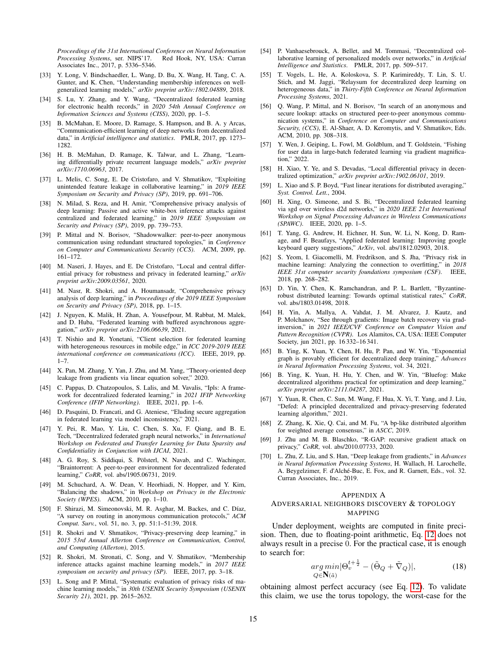*Proceedings of the 31st International Conference on Neural Information Processing Systems*, ser. NIPS'17. Red Hook, NY, USA: Curran Associates Inc., 2017, p. 5336–5346.

- <span id="page-14-21"></span>[33] Y. Long, V. Bindschaedler, L. Wang, D. Bu, X. Wang, H. Tang, C. A. Gunter, and K. Chen, "Understanding membership inferences on wellgeneralized learning models," *arXiv preprint arXiv:1802.04889*, 2018.
- <span id="page-14-6"></span>[34] S. Lu, Y. Zhang, and Y. Wang, "Decentralized federated learning for electronic health records," in *2020 54th Annual Conference on Information Sciences and Systems (CISS)*, 2020, pp. 1–5.
- <span id="page-14-0"></span>[35] B. McMahan, E. Moore, D. Ramage, S. Hampson, and B. A. y Arcas, "Communication-efficient learning of deep networks from decentralized data," in *Artificial intelligence and statistics*. PMLR, 2017, pp. 1273– 1282.
- <span id="page-14-37"></span>[36] H. B. McMahan, D. Ramage, K. Talwar, and L. Zhang, "Learning differentially private recurrent language models," *arXiv preprint arXiv:1710.06963*, 2017.
- <span id="page-14-28"></span>[37] L. Melis, C. Song, E. De Cristofaro, and V. Shmatikov, "Exploiting unintended feature leakage in collaborative learning," in *2019 IEEE Symposium on Security and Privacy (SP)*, 2019, pp. 691–706.
- <span id="page-14-29"></span>[38] N. Milad, S. Reza, and H. Amir, "Comprehensive privacy analysis of deep learning: Passive and active white-box inference attacks against centralized and federated learning," in *2019 IEEE Symposium on Security and Privacy (SP)*, 2019, pp. 739–753.
- <span id="page-14-30"></span>[39] P. Mittal and N. Borisov, "Shadowwalker: peer-to-peer anonymous communication using redundant structured topologies," in *Conference on Computer and Communications Security (CCS)*. ACM, 2009, pp. 161–172.
- <span id="page-14-35"></span>[40] M. Naseri, J. Hayes, and E. De Cristofaro, "Local and central differential privacy for robustness and privacy in federated learning," *arXiv preprint arXiv:2009.03561*, 2020.
- <span id="page-14-23"></span>[41] M. Nasr, R. Shokri, and A. Houmansadr, "Comprehensive privacy analysis of deep learning," in *Proceedings of the 2019 IEEE Symposium on Security and Privacy (SP)*, 2018, pp. 1–15.
- <span id="page-14-34"></span>[42] J. Nguyen, K. Malik, H. Zhan, A. Yousefpour, M. Rabbat, M. Malek, and D. Huba, "Federated learning with buffered asynchronous aggregation," *arXiv preprint arXiv:2106.06639*, 2021.
- <span id="page-14-4"></span>[43] T. Nishio and R. Yonetani, "Client selection for federated learning with heterogeneous resources in mobile edge," in *ICC 2019-2019 IEEE international conference on communications (ICC)*. IEEE, 2019, pp.  $1 - 7$ .
- <span id="page-14-24"></span>[44] X. Pan, M. Zhang, Y. Yan, J. Zhu, and M. Yang, "Theory-oriented deep leakage from gradients via linear equation solver," 2020.
- <span id="page-14-7"></span>[45] C. Pappas, D. Chatzopoulos, S. Lalis, and M. Vavalis, "Ipls: A framework for decentralized federated learning," in *2021 IFIP Networking Conference (IFIP Networking)*. IEEE, 2021, pp. 1–6.
- <span id="page-14-1"></span>[46] D. Pasquini, D. Francati, and G. Ateniese, "Eluding secure aggregation in federated learning via model inconsistency," 2021.
- <span id="page-14-8"></span>[47] Y. Pei, R. Mao, Y. Liu, C. Chen, S. Xu, F. Qiang, and B. E. Tech, "Decentralized federated graph neural networks," in *International Workshop on Federated and Transfer Learning for Data Sparsity and Confidentiality in Conjunction with IJCAI*, 2021.
- <span id="page-14-9"></span>[48] A. G. Roy, S. Siddiqui, S. Pölsterl, N. Navab, and C. Wachinger, "Braintorrent: A peer-to-peer environment for decentralized federated learning," *CoRR*, vol. abs/1905.06731, 2019.
- <span id="page-14-32"></span>[49] M. Schuchard, A. W. Dean, V. Heorhiadi, N. Hopper, and Y. Kim, "Balancing the shadows," in *Workshop on Privacy in the Electronic Society (WPES)*. ACM, 2010, pp. 1–10.
- <span id="page-14-31"></span>[50] F. Shirazi, M. Simeonovski, M. R. Asghar, M. Backes, and C. Díaz, "A survey on routing in anonymous communication protocols," *ACM Comput. Surv.*, vol. 51, no. 3, pp. 51:1–51:39, 2018.
- <span id="page-14-14"></span>[51] R. Shokri and V. Shmatikov, "Privacy-preserving deep learning," in *2015 53rd Annual Allerton Conference on Communication, Control, and Computing (Allerton)*, 2015.
- <span id="page-14-22"></span>[52] R. Shokri, M. Stronati, C. Song, and V. Shmatikov, "Membership inference attacks against machine learning models," in *2017 IEEE symposium on security and privacy (SP)*. IEEE, 2017, pp. 3–18.
- <span id="page-14-19"></span>[53] L. Song and P. Mittal, "Systematic evaluation of privacy risks of machine learning models," in *30th USENIX Security Symposium (USENIX Security 21)*, 2021, pp. 2615–2632.
- <span id="page-14-5"></span>[54] P. Vanhaesebrouck, A. Bellet, and M. Tommasi, "Decentralized collaborative learning of personalized models over networks," in *Artificial Intelligence and Statistics*. PMLR, 2017, pp. 509–517.
- <span id="page-14-10"></span>[55] T. Vogels, L. He, A. Koloskova, S. P. Karimireddy, T. Lin, S. U. Stich, and M. Jaggi, "Relaysum for decentralized deep learning on heterogeneous data," in *Thirty-Fifth Conference on Neural Information Processing Systems*, 2021.
- <span id="page-14-33"></span>[56] Q. Wang, P. Mittal, and N. Borisov, "In search of an anonymous and secure lookup: attacks on structured peer-to-peer anonymous communication systems," in *Conference on Computer and Communications Security, (CCS)*, E. Al-Shaer, A. D. Keromytis, and V. Shmatikov, Eds. ACM, 2010, pp. 308–318.
- <span id="page-14-2"></span>[57] Y. Wen, J. Geiping, L. Fowl, M. Goldblum, and T. Goldstein, "Fishing for user data in large-batch federated learning via gradient magnification," 2022.
- <span id="page-14-36"></span>[58] H. Xiao, Y. Ye, and S. Devadas, "Local differential privacy in decentralized optimization," *arXiv preprint arXiv:1902.06101*, 2019.
- <span id="page-14-15"></span>[59] L. Xiao and S. P. Boyd, "Fast linear iterations for distributed averaging," *Syst. Control. Lett.*, 2004.
- <span id="page-14-11"></span>[60] H. Xing, O. Simeone, and S. Bi, "Decentralized federated learning via sgd over wireless d2d networks," in *2020 IEEE 21st International Workshop on Signal Processing Advances in Wireless Communications (SPAWC)*. IEEE, 2020, pp. 1–5.
- <span id="page-14-38"></span>[61] T. Yang, G. Andrew, H. Eichner, H. Sun, W. Li, N. Kong, D. Ramage, and F. Beaufays, "Applied federated learning: Improving google keyboard query suggestions," *ArXiv*, vol. abs/1812.02903, 2018.
- <span id="page-14-20"></span>[62] S. Yeom, I. Giacomelli, M. Fredrikson, and S. Jha, "Privacy risk in machine learning: Analyzing the connection to overfitting," in *2018 IEEE 31st computer security foundations symposium (CSF)*. IEEE, 2018, pp. 268–282.
- <span id="page-14-16"></span>[63] D. Yin, Y. Chen, K. Ramchandran, and P. L. Bartlett, "Byzantinerobust distributed learning: Towards optimal statistical rates," *CoRR*, vol. abs/1803.01498, 2018.
- <span id="page-14-25"></span>[64] H. Yin, A. Mallya, A. Vahdat, J. M. Alvarez, J. Kautz, and P. Molchanov, "See through gradients: Image batch recovery via gradinversion," in *2021 IEEE/CVF Conference on Computer Vision and Pattern Recognition (CVPR)*. Los Alamitos, CA, USA: IEEE Computer Society, jun 2021, pp. 16 332–16 341.
- <span id="page-14-12"></span>[65] B. Ying, K. Yuan, Y. Chen, H. Hu, P. Pan, and W. Yin, "Exponential graph is provably efficient for decentralized deep training," *Advances in Neural Information Processing Systems*, vol. 34, 2021.
- <span id="page-14-13"></span>[66] B. Ying, K. Yuan, H. Hu, Y. Chen, and W. Yin, "Bluefog: Make decentralized algorithms practical for optimization and deep learning," *arXiv preprint arXiv:2111.04287*, 2021.
- <span id="page-14-17"></span>[67] Y. Yuan, R. Chen, C. Sun, M. Wang, F. Hua, X. Yi, T. Yang, and J. Liu, "Defed: A principled decentralized and privacy-preserving federated learning algorithm," 2021.
- <span id="page-14-18"></span>[68] Z. Zhang, K. Xie, Q. Cai, and M. Fu, "A bp-like distributed algorithm for weighted average consensus," in *ASCC*, 2019.
- <span id="page-14-26"></span>[69] J. Zhu and M. B. Blaschko, "R-GAP: recursive gradient attack on privacy," *CoRR*, vol. abs/2010.07733, 2020.
- <span id="page-14-3"></span>[70] L. Zhu, Z. Liu, and S. Han, "Deep leakage from gradients," in *Advances in Neural Information Processing Systems*, H. Wallach, H. Larochelle, A. Beygelzimer, F. d'Alché-Buc, E. Fox, and R. Garnett, Eds., vol. 32. Curran Associates, Inc., 2019.

#### <span id="page-14-27"></span>APPENDIX A

#### ADVERSARIAL NEIGHBORS DISCOVERY & TOPOLOGY MAPPING

Under deployment, weights are computed in finite precision. Then, due to floating-point arithmetic, Eq. [12](#page-7-1) does not always result in a precise 0. For the practical case, it is enough to search for:

<span id="page-14-39"></span>
$$
\underset{Q \in \mathbb{N}(\tilde{a})}{\arg \min} |\Theta_v^{t + \frac{1}{2}} - (\tilde{\Theta}_Q + \tilde{\nabla}_Q)|, \tag{18}
$$

obtaining almost perfect accuracy (see Eq. [12\)](#page-7-1). To validate this claim, we use the torus topology, the worst-case for the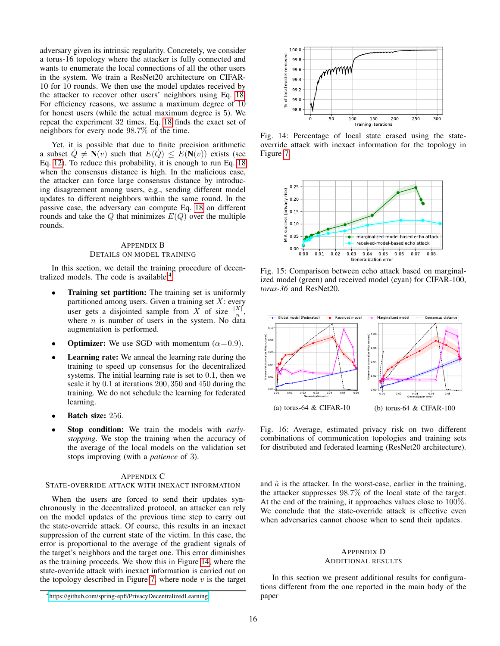adversary given its intrinsic regularity. Concretely, we consider a torus-16 topology where the attacker is fully connected and wants to enumerate the local connections of all the other users in the system. We train a ResNet20 architecture on CIFAR-10 for 10 rounds. We then use the model updates received by the attacker to recover other users' neighbors using Eq. [18.](#page-14-39) For efficiency reasons, we assume a maximum degree of 10 for honest users (while the actual maximum degree is 5). We repeat the experiment 32 times. Eq. [18](#page-14-39) finds the exact set of neighbors for every node 98.7% of the time.

Yet, it is possible that due to finite precision arithmetic a subset  $Q \neq N(v)$  such that  $E(Q) \leq E(N(v))$  exists (see Eq. [12\)](#page-7-1). To reduce this probability, it is enough to run Eq. [18](#page-14-39) when the consensus distance is high. In the malicious case, the attacker can force large consensus distance by introducing disagreement among users, e.g., sending different model updates to different neighbors within the same round. In the passive case, the adversary can compute Eq. [18](#page-14-39) on different rounds and take the  $Q$  that minimizes  $E(Q)$  over the multiple rounds.

# <span id="page-15-0"></span>APPENDIX B DETAILS ON MODEL TRAINING

In this section, we detail the training procedure of decen-tralized models. The code is available.<sup>[4](#page-15-4)</sup>

- Training set partition: The training set is uniformly partitioned among users. Given a training set  $X$ : every user gets a disjointed sample from X of size  $\frac{|X|}{n}$ , where  $n$  is number of users in the system. No data augmentation is performed.
- **Optimizer:** We use SGD with momentum  $(\alpha = 0.9)$ .
- **Learning rate:** We anneal the learning rate during the training to speed up consensus for the decentralized systems. The initial learning rate is set to 0.1, then we scale it by 0.1 at iterations 200, 350 and 450 during the training. We do not schedule the learning for federated learning.
- Batch size: 256.
- Stop condition: We train the models with *earlystopping*. We stop the training when the accuracy of the average of the local models on the validation set stops improving (with a *patience* of 3).

## <span id="page-15-3"></span>APPENDIX C

# STATE-OVERRIDE ATTACK WITH INEXACT INFORMATION

When the users are forced to send their updates synchronously in the decentralized protocol, an attacker can rely on the model updates of the previous time step to carry out the state-override attack. Of course, this results in an inexact suppression of the current state of the victim. In this case, the error is proportional to the average of the gradient signals of the target's neighbors and the target one. This error diminishes as the training proceeds. We show this in Figure [14,](#page-15-5) where the state-override attack with inexact information is carried out on the topology described in Figure [7,](#page-7-0) where node  $v$  is the target

<span id="page-15-5"></span>

Fig. 14: Percentage of local state erased using the stateoverride attack with inexact information for the topology in Figure [7.](#page-7-0)

<span id="page-15-1"></span>

Fig. 15: Comparison between echo attack based on marginalized model (green) and received model (cyan) for CIFAR-100, *torus-36* and ResNet20.

<span id="page-15-6"></span>

Fig. 16: Average, estimated privacy risk on two different combinations of communication topologies and training sets for distributed and federated learning (ResNet20 architecture).

and  $\tilde{a}$  is the attacker. In the worst-case, earlier in the training, the attacker suppresses 98.7% of the local state of the target. At the end of the training, it approaches values close to 100%. We conclude that the state-override attack is effective even when adversaries cannot choose when to send their updates.

# <span id="page-15-2"></span>APPENDIX D ADDITIONAL RESULTS

In this section we present additional results for configurations different from the one reported in the main body of the paper

<span id="page-15-4"></span><sup>4</sup><https://github.com/spring-epfl/PrivacyDecentralizedLearning>